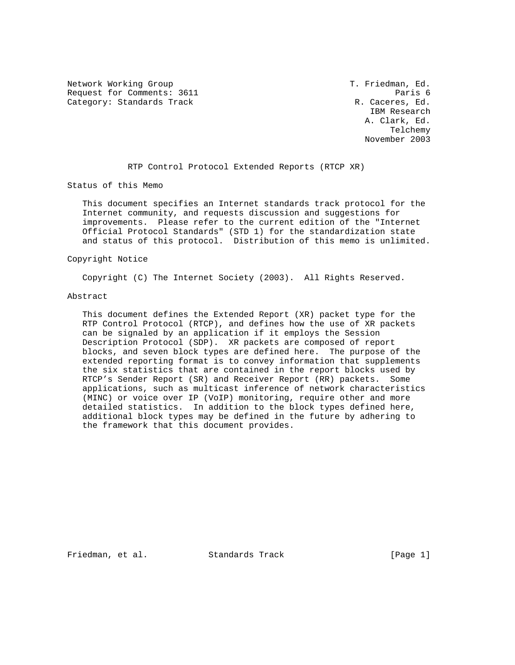Network Working Group T. Friedman, Ed. Request for Comments: 3611 Paris 6 Category: Standards Track R. Caceres, Ed.

 IBM Research A. Clark, Ed. Telchemy November 2003

RTP Control Protocol Extended Reports (RTCP XR)

Status of this Memo

 This document specifies an Internet standards track protocol for the Internet community, and requests discussion and suggestions for improvements. Please refer to the current edition of the "Internet Official Protocol Standards" (STD 1) for the standardization state and status of this protocol. Distribution of this memo is unlimited.

### Copyright Notice

Copyright (C) The Internet Society (2003). All Rights Reserved.

### Abstract

 This document defines the Extended Report (XR) packet type for the RTP Control Protocol (RTCP), and defines how the use of XR packets can be signaled by an application if it employs the Session Description Protocol (SDP). XR packets are composed of report blocks, and seven block types are defined here. The purpose of the extended reporting format is to convey information that supplements the six statistics that are contained in the report blocks used by RTCP's Sender Report (SR) and Receiver Report (RR) packets. Some applications, such as multicast inference of network characteristics (MINC) or voice over IP (VoIP) monitoring, require other and more detailed statistics. In addition to the block types defined here, additional block types may be defined in the future by adhering to the framework that this document provides.

Friedman, et al. Standards Track [Page 1]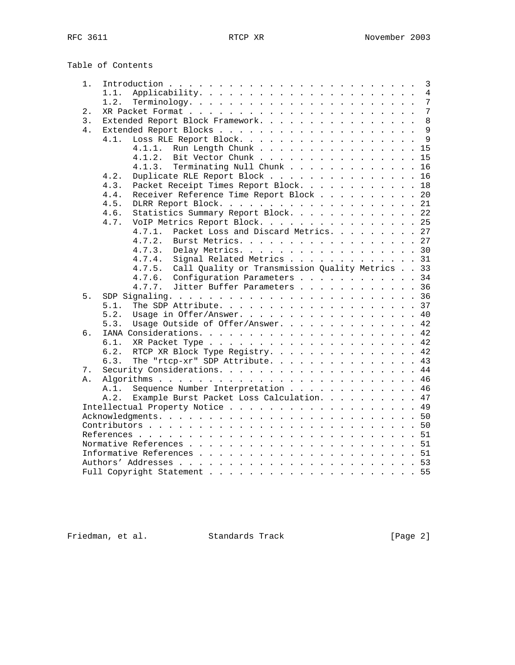|       | Table of Contents                                         |
|-------|-----------------------------------------------------------|
| 1.    |                                                           |
|       | 1.1.                                                      |
|       | 1.2.                                                      |
| $2$ . |                                                           |
| 3.    | Extended Report Block Framework. 8                        |
| 4.    |                                                           |
|       | Loss RLE Report Block. 9<br>4.1.                          |
|       | Run Length Chunk 15<br>4.1.1.                             |
|       | Bit Vector Chunk 15<br>4.1.2.                             |
|       | Terminating Null Chunk 16<br>4.1.3.                       |
|       | Duplicate RLE Report Block 16<br>4.2.                     |
|       | Packet Receipt Times Report Block. 18<br>4.3.             |
|       | Receiver Reference Time Report Block 20<br>4.4.           |
|       | 4.5.                                                      |
|       | Statistics Summary Report Block. 22<br>4.6.               |
|       | VoIP Metrics Report Block. 25<br>4.7.                     |
|       | 4.7.1.<br>Packet Loss and Discard Metrics. 27             |
|       | Burst Metrics. 27<br>4.7.2.                               |
|       | Delay Metrics. 30<br>4.7.3.                               |
|       | Signal Related Metrics 31<br>4.7.4.                       |
|       | Call Quality or Transmission Quality Metrics 33<br>4.7.5. |
|       | 4.7.6.<br>Configuration Parameters 34                     |
|       | 4.7.7. Jitter Buffer Parameters 36                        |
| 5.    |                                                           |
|       | 5.1.                                                      |
|       | Usage in Offer/Answer. 40<br>5.2.                         |
|       | Usage Outside of Offer/Answer. 42<br>5.3.                 |
| б.    |                                                           |
|       | 6.1.                                                      |
|       | 6.2.<br>RTCP XR Block Type Registry. 42                   |
|       | 6.3.                                                      |
| 7.    | The "rtcp-xr" SDP Attribute. 43                           |
|       |                                                           |
| Α.    |                                                           |
|       | Sequence Number Interpretation 46<br>A.1.                 |
|       | Example Burst Packet Loss Calculation. 47<br>A.2.         |
|       |                                                           |
|       |                                                           |
|       |                                                           |
|       |                                                           |
|       |                                                           |
|       |                                                           |
|       |                                                           |
|       |                                                           |

Friedman, et al. Standards Track [Page 2]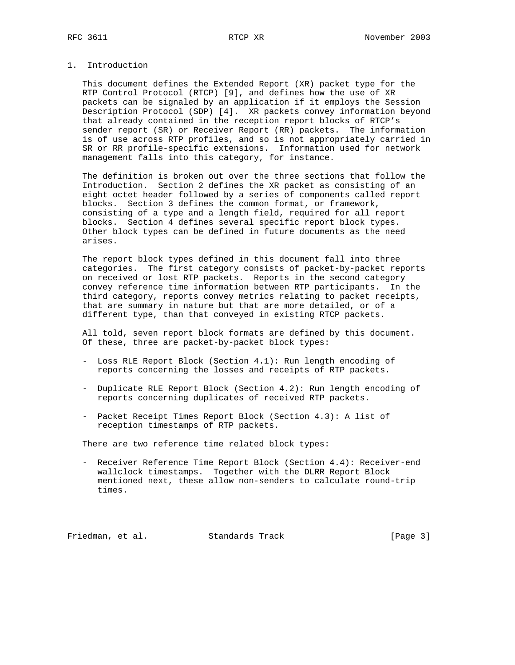# 1. Introduction

 This document defines the Extended Report (XR) packet type for the RTP Control Protocol (RTCP) [9], and defines how the use of XR packets can be signaled by an application if it employs the Session Description Protocol (SDP) [4]. XR packets convey information beyond that already contained in the reception report blocks of RTCP's sender report (SR) or Receiver Report (RR) packets. The information is of use across RTP profiles, and so is not appropriately carried in SR or RR profile-specific extensions. Information used for network management falls into this category, for instance.

 The definition is broken out over the three sections that follow the Introduction. Section 2 defines the XR packet as consisting of an eight octet header followed by a series of components called report blocks. Section 3 defines the common format, or framework, consisting of a type and a length field, required for all report blocks. Section 4 defines several specific report block types. Other block types can be defined in future documents as the need arises.

 The report block types defined in this document fall into three categories. The first category consists of packet-by-packet reports on received or lost RTP packets. Reports in the second category convey reference time information between RTP participants. In the third category, reports convey metrics relating to packet receipts, that are summary in nature but that are more detailed, or of a different type, than that conveyed in existing RTCP packets.

 All told, seven report block formats are defined by this document. Of these, three are packet-by-packet block types:

- Loss RLE Report Block (Section 4.1): Run length encoding of reports concerning the losses and receipts of RTP packets.
- Duplicate RLE Report Block (Section 4.2): Run length encoding of reports concerning duplicates of received RTP packets.
- Packet Receipt Times Report Block (Section 4.3): A list of reception timestamps of RTP packets.

There are two reference time related block types:

 - Receiver Reference Time Report Block (Section 4.4): Receiver-end wallclock timestamps. Together with the DLRR Report Block mentioned next, these allow non-senders to calculate round-trip times.

Friedman, et al. Standards Track [Page 3]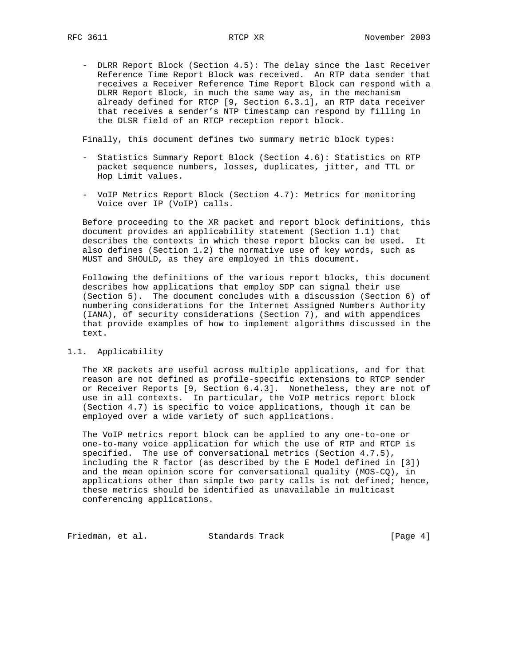- DLRR Report Block (Section 4.5): The delay since the last Receiver Reference Time Report Block was received. An RTP data sender that receives a Receiver Reference Time Report Block can respond with a DLRR Report Block, in much the same way as, in the mechanism already defined for RTCP [9, Section 6.3.1], an RTP data receiver that receives a sender's NTP timestamp can respond by filling in the DLSR field of an RTCP reception report block.

Finally, this document defines two summary metric block types:

- Statistics Summary Report Block (Section 4.6): Statistics on RTP packet sequence numbers, losses, duplicates, jitter, and TTL or Hop Limit values.
- VoIP Metrics Report Block (Section 4.7): Metrics for monitoring Voice over IP (VoIP) calls.

 Before proceeding to the XR packet and report block definitions, this document provides an applicability statement (Section 1.1) that describes the contexts in which these report blocks can be used. It also defines (Section 1.2) the normative use of key words, such as MUST and SHOULD, as they are employed in this document.

 Following the definitions of the various report blocks, this document describes how applications that employ SDP can signal their use (Section 5). The document concludes with a discussion (Section 6) of numbering considerations for the Internet Assigned Numbers Authority (IANA), of security considerations (Section 7), and with appendices that provide examples of how to implement algorithms discussed in the text.

### 1.1. Applicability

 The XR packets are useful across multiple applications, and for that reason are not defined as profile-specific extensions to RTCP sender or Receiver Reports [9, Section 6.4.3]. Nonetheless, they are not of use in all contexts. In particular, the VoIP metrics report block (Section 4.7) is specific to voice applications, though it can be employed over a wide variety of such applications.

 The VoIP metrics report block can be applied to any one-to-one or one-to-many voice application for which the use of RTP and RTCP is specified. The use of conversational metrics (Section 4.7.5), including the R factor (as described by the E Model defined in [3]) and the mean opinion score for conversational quality (MOS-CQ), in applications other than simple two party calls is not defined; hence, these metrics should be identified as unavailable in multicast conferencing applications.

Friedman, et al. Standards Track [Page 4]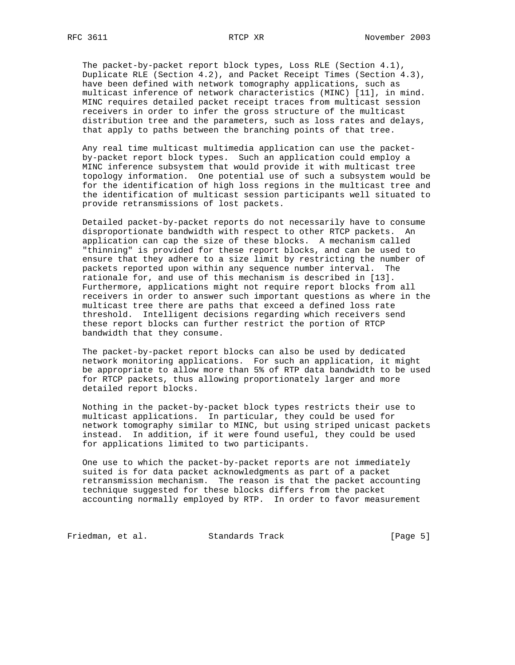The packet-by-packet report block types, Loss RLE (Section 4.1), Duplicate RLE (Section 4.2), and Packet Receipt Times (Section 4.3), have been defined with network tomography applications, such as multicast inference of network characteristics (MINC) [11], in mind. MINC requires detailed packet receipt traces from multicast session receivers in order to infer the gross structure of the multicast distribution tree and the parameters, such as loss rates and delays, that apply to paths between the branching points of that tree.

 Any real time multicast multimedia application can use the packet by-packet report block types. Such an application could employ a MINC inference subsystem that would provide it with multicast tree topology information. One potential use of such a subsystem would be for the identification of high loss regions in the multicast tree and the identification of multicast session participants well situated to provide retransmissions of lost packets.

 Detailed packet-by-packet reports do not necessarily have to consume disproportionate bandwidth with respect to other RTCP packets. An application can cap the size of these blocks. A mechanism called "thinning" is provided for these report blocks, and can be used to ensure that they adhere to a size limit by restricting the number of packets reported upon within any sequence number interval. The rationale for, and use of this mechanism is described in [13]. Furthermore, applications might not require report blocks from all receivers in order to answer such important questions as where in the multicast tree there are paths that exceed a defined loss rate threshold. Intelligent decisions regarding which receivers send these report blocks can further restrict the portion of RTCP bandwidth that they consume.

 The packet-by-packet report blocks can also be used by dedicated network monitoring applications. For such an application, it might be appropriate to allow more than 5% of RTP data bandwidth to be used for RTCP packets, thus allowing proportionately larger and more detailed report blocks.

 Nothing in the packet-by-packet block types restricts their use to multicast applications. In particular, they could be used for network tomography similar to MINC, but using striped unicast packets instead. In addition, if it were found useful, they could be used for applications limited to two participants.

 One use to which the packet-by-packet reports are not immediately suited is for data packet acknowledgments as part of a packet retransmission mechanism. The reason is that the packet accounting technique suggested for these blocks differs from the packet accounting normally employed by RTP. In order to favor measurement

Friedman, et al. Standards Track [Page 5]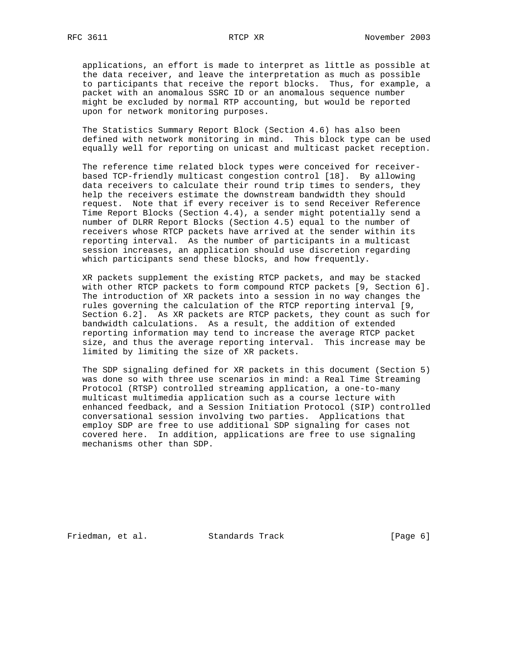applications, an effort is made to interpret as little as possible at the data receiver, and leave the interpretation as much as possible to participants that receive the report blocks. Thus, for example, a packet with an anomalous SSRC ID or an anomalous sequence number might be excluded by normal RTP accounting, but would be reported upon for network monitoring purposes.

 The Statistics Summary Report Block (Section 4.6) has also been defined with network monitoring in mind. This block type can be used equally well for reporting on unicast and multicast packet reception.

 The reference time related block types were conceived for receiver based TCP-friendly multicast congestion control [18]. By allowing data receivers to calculate their round trip times to senders, they help the receivers estimate the downstream bandwidth they should request. Note that if every receiver is to send Receiver Reference Time Report Blocks (Section 4.4), a sender might potentially send a number of DLRR Report Blocks (Section 4.5) equal to the number of receivers whose RTCP packets have arrived at the sender within its reporting interval. As the number of participants in a multicast session increases, an application should use discretion regarding which participants send these blocks, and how frequently.

 XR packets supplement the existing RTCP packets, and may be stacked with other RTCP packets to form compound RTCP packets [9, Section 6]. The introduction of XR packets into a session in no way changes the rules governing the calculation of the RTCP reporting interval [9, Section 6.2]. As XR packets are RTCP packets, they count as such for bandwidth calculations. As a result, the addition of extended reporting information may tend to increase the average RTCP packet size, and thus the average reporting interval. This increase may be limited by limiting the size of XR packets.

 The SDP signaling defined for XR packets in this document (Section 5) was done so with three use scenarios in mind: a Real Time Streaming Protocol (RTSP) controlled streaming application, a one-to-many multicast multimedia application such as a course lecture with enhanced feedback, and a Session Initiation Protocol (SIP) controlled conversational session involving two parties. Applications that employ SDP are free to use additional SDP signaling for cases not covered here. In addition, applications are free to use signaling mechanisms other than SDP.

Friedman, et al. Standards Track [Page 6]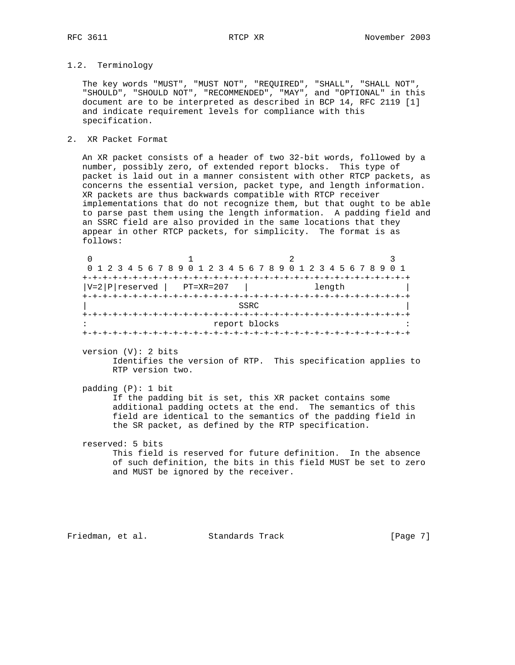# 1.2. Terminology

 The key words "MUST", "MUST NOT", "REQUIRED", "SHALL", "SHALL NOT", "SHOULD", "SHOULD NOT", "RECOMMENDED", "MAY", and "OPTIONAL" in this document are to be interpreted as described in BCP 14, RFC 2119 [1] and indicate requirement levels for compliance with this specification.

# 2. XR Packet Format

 An XR packet consists of a header of two 32-bit words, followed by a number, possibly zero, of extended report blocks. This type of packet is laid out in a manner consistent with other RTCP packets, as concerns the essential version, packet type, and length information. XR packets are thus backwards compatible with RTCP receiver implementations that do not recognize them, but that ought to be able to parse past them using the length information. A padding field and an SSRC field are also provided in the same locations that they appear in other RTCP packets, for simplicity. The format is as follows:

0  $1$  2 3 0 1 2 3 4 5 6 7 8 9 0 1 2 3 4 5 6 7 8 9 0 1 2 3 4 5 6 7 8 9 0 1 +-+-+-+-+-+-+-+-+-+-+-+-+-+-+-+-+-+-+-+-+-+-+-+-+-+-+-+-+-+-+-+-+  $|V=2|P|$ reserved  $|PT=XR=207$   $|$  length +-+-+-+-+-+-+-+-+-+-+-+-+-+-+-+-+-+-+-+-+-+-+-+-+-+-+-+-+-+-+-+-+ | SSRC | SSRC | SSRC | SSRC | SSRC | SSRC | SSRC | SSRC | SSRC | SSRC | SSRC | SSRC | SSRC | SSRC | SSRC | SSRC | SSRC | SSRC | SSRC | SSRC | SSRC | SSRC | SSRC | SSRC | SSRC | SSRC | SSRC | SSRC | SSRC | SSRC | SSRC | SSR +-+-+-+-+-+-+-+-+-+-+-+-+-+-+-+-+-+-+-+-+-+-+-+-+-+-+-+-+-+-+-+-+ : report blocks : +-+-+-+-+-+-+-+-+-+-+-+-+-+-+-+-+-+-+-+-+-+-+-+-+-+-+-+-+-+-+-+-+ version (V): 2 bits Identifies the version of RTP. This specification applies to RTP version two. padding (P): 1 bit If the padding bit is set, this XR packet contains some

 additional padding octets at the end. The semantics of this field are identical to the semantics of the padding field in the SR packet, as defined by the RTP specification.

 reserved: 5 bits This field is reserved for future definition. In the absence of such definition, the bits in this field MUST be set to zero and MUST be ignored by the receiver.

Friedman, et al. Standards Track [Page 7]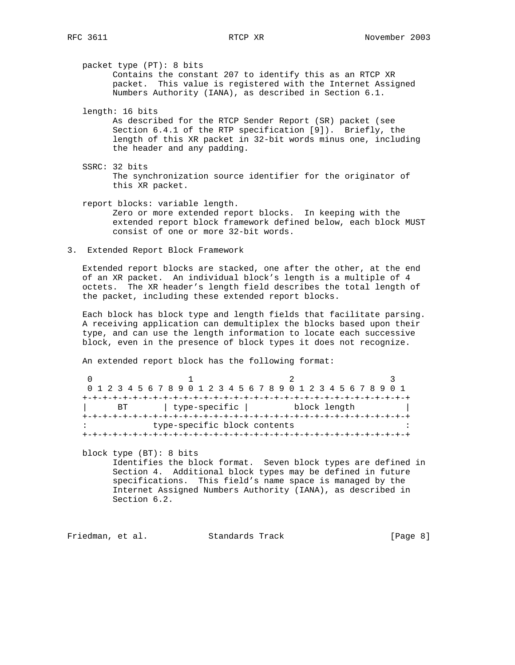packet type (PT): 8 bits Contains the constant 207 to identify this as an RTCP XR packet. This value is registered with the Internet Assigned Numbers Authority (IANA), as described in Section 6.1.

length: 16 bits

 As described for the RTCP Sender Report (SR) packet (see Section 6.4.1 of the RTP specification [9]). Briefly, the length of this XR packet in 32-bit words minus one, including the header and any padding.

- SSRC: 32 bits The synchronization source identifier for the originator of this XR packet.
- report blocks: variable length. Zero or more extended report blocks. In keeping with the extended report block framework defined below, each block MUST consist of one or more 32-bit words.
- 3. Extended Report Block Framework

 Extended report blocks are stacked, one after the other, at the end of an XR packet. An individual block's length is a multiple of 4 octets. The XR header's length field describes the total length of the packet, including these extended report blocks.

 Each block has block type and length fields that facilitate parsing. A receiving application can demultiplex the blocks based upon their type, and can use the length information to locate each successive block, even in the presence of block types it does not recognize.

An extended report block has the following format:

| 0 1 2 3 4 5 6 7 8 9 0 1 2 3 4 5 6 7 8 9 0 1 2 3 4 5 6 7 8 9 0 1 |      |  |  |                              |  |  |  |  |  |  |  |  |              |  |  |  |
|-----------------------------------------------------------------|------|--|--|------------------------------|--|--|--|--|--|--|--|--|--------------|--|--|--|
|                                                                 |      |  |  |                              |  |  |  |  |  |  |  |  |              |  |  |  |
|                                                                 | BT a |  |  | type-specific                |  |  |  |  |  |  |  |  | block length |  |  |  |
|                                                                 |      |  |  |                              |  |  |  |  |  |  |  |  |              |  |  |  |
|                                                                 |      |  |  | type-specific block contents |  |  |  |  |  |  |  |  |              |  |  |  |
|                                                                 |      |  |  |                              |  |  |  |  |  |  |  |  |              |  |  |  |

 block type (BT): 8 bits Identifies the block format. Seven block types are defined in Section 4. Additional block types may be defined in future specifications. This field's name space is managed by the Internet Assigned Numbers Authority (IANA), as described in Section 6.2.

Friedman, et al. Standards Track [Page 8]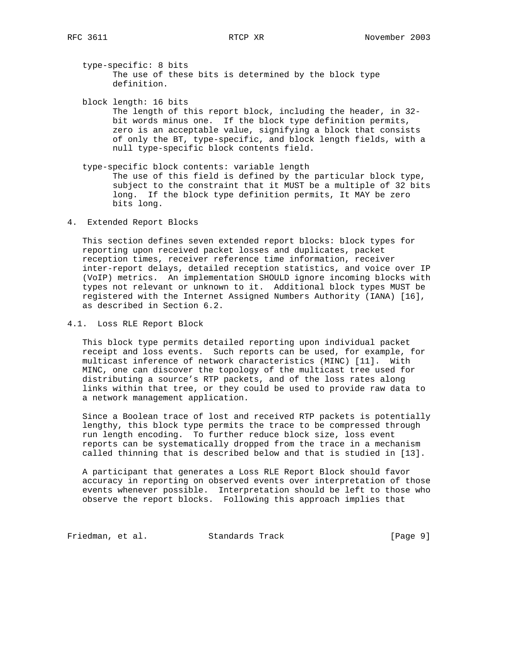type-specific: 8 bits The use of these bits is determined by the block type definition.

 block length: 16 bits The length of this report block, including the header, in 32 bit words minus one. If the block type definition permits, zero is an acceptable value, signifying a block that consists of only the BT, type-specific, and block length fields, with a null type-specific block contents field.

- type-specific block contents: variable length The use of this field is defined by the particular block type, subject to the constraint that it MUST be a multiple of 32 bits long. If the block type definition permits, It MAY be zero bits long.
- 4. Extended Report Blocks

 This section defines seven extended report blocks: block types for reporting upon received packet losses and duplicates, packet reception times, receiver reference time information, receiver inter-report delays, detailed reception statistics, and voice over IP (VoIP) metrics. An implementation SHOULD ignore incoming blocks with types not relevant or unknown to it. Additional block types MUST be registered with the Internet Assigned Numbers Authority (IANA) [16], as described in Section 6.2.

4.1. Loss RLE Report Block

 This block type permits detailed reporting upon individual packet receipt and loss events. Such reports can be used, for example, for multicast inference of network characteristics (MINC) [11]. With MINC, one can discover the topology of the multicast tree used for distributing a source's RTP packets, and of the loss rates along links within that tree, or they could be used to provide raw data to a network management application.

 Since a Boolean trace of lost and received RTP packets is potentially lengthy, this block type permits the trace to be compressed through run length encoding. To further reduce block size, loss event reports can be systematically dropped from the trace in a mechanism called thinning that is described below and that is studied in [13].

 A participant that generates a Loss RLE Report Block should favor accuracy in reporting on observed events over interpretation of those events whenever possible. Interpretation should be left to those who observe the report blocks. Following this approach implies that

Friedman, et al. Standards Track [Page 9]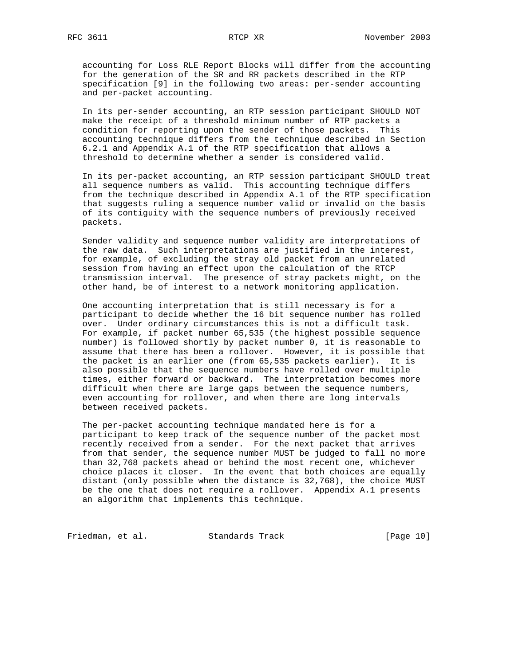accounting for Loss RLE Report Blocks will differ from the accounting for the generation of the SR and RR packets described in the RTP specification [9] in the following two areas: per-sender accounting and per-packet accounting.

 In its per-sender accounting, an RTP session participant SHOULD NOT make the receipt of a threshold minimum number of RTP packets a condition for reporting upon the sender of those packets. This accounting technique differs from the technique described in Section 6.2.1 and Appendix A.1 of the RTP specification that allows a threshold to determine whether a sender is considered valid.

 In its per-packet accounting, an RTP session participant SHOULD treat all sequence numbers as valid. This accounting technique differs from the technique described in Appendix A.1 of the RTP specification that suggests ruling a sequence number valid or invalid on the basis of its contiguity with the sequence numbers of previously received packets.

 Sender validity and sequence number validity are interpretations of the raw data. Such interpretations are justified in the interest, for example, of excluding the stray old packet from an unrelated session from having an effect upon the calculation of the RTCP transmission interval. The presence of stray packets might, on the other hand, be of interest to a network monitoring application.

 One accounting interpretation that is still necessary is for a participant to decide whether the 16 bit sequence number has rolled over. Under ordinary circumstances this is not a difficult task. For example, if packet number 65,535 (the highest possible sequence number) is followed shortly by packet number 0, it is reasonable to assume that there has been a rollover. However, it is possible that the packet is an earlier one (from 65,535 packets earlier). It is also possible that the sequence numbers have rolled over multiple times, either forward or backward. The interpretation becomes more difficult when there are large gaps between the sequence numbers, even accounting for rollover, and when there are long intervals between received packets.

 The per-packet accounting technique mandated here is for a participant to keep track of the sequence number of the packet most recently received from a sender. For the next packet that arrives from that sender, the sequence number MUST be judged to fall no more than 32,768 packets ahead or behind the most recent one, whichever choice places it closer. In the event that both choices are equally distant (only possible when the distance is 32,768), the choice MUST be the one that does not require a rollover. Appendix A.1 presents an algorithm that implements this technique.

Friedman, et al. Standards Track [Page 10]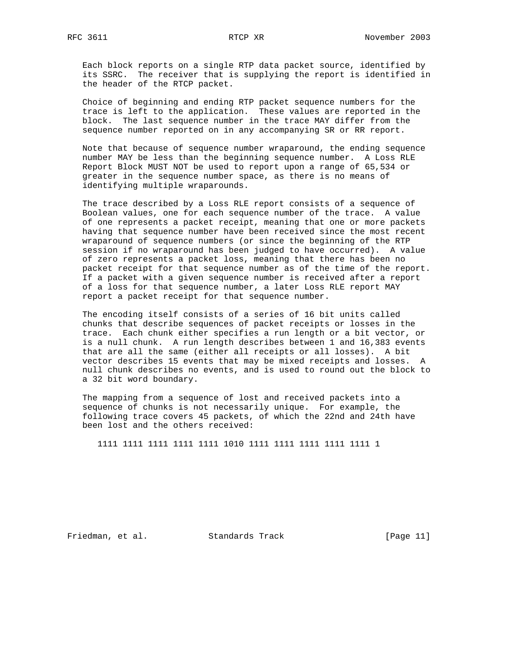Each block reports on a single RTP data packet source, identified by its SSRC. The receiver that is supplying the report is identified in the header of the RTCP packet.

 Choice of beginning and ending RTP packet sequence numbers for the trace is left to the application. These values are reported in the block. The last sequence number in the trace MAY differ from the sequence number reported on in any accompanying SR or RR report.

 Note that because of sequence number wraparound, the ending sequence number MAY be less than the beginning sequence number. A Loss RLE Report Block MUST NOT be used to report upon a range of 65,534 or greater in the sequence number space, as there is no means of identifying multiple wraparounds.

 The trace described by a Loss RLE report consists of a sequence of Boolean values, one for each sequence number of the trace. A value of one represents a packet receipt, meaning that one or more packets having that sequence number have been received since the most recent wraparound of sequence numbers (or since the beginning of the RTP session if no wraparound has been judged to have occurred). A value of zero represents a packet loss, meaning that there has been no packet receipt for that sequence number as of the time of the report. If a packet with a given sequence number is received after a report of a loss for that sequence number, a later Loss RLE report MAY report a packet receipt for that sequence number.

 The encoding itself consists of a series of 16 bit units called chunks that describe sequences of packet receipts or losses in the trace. Each chunk either specifies a run length or a bit vector, or is a null chunk. A run length describes between 1 and 16,383 events that are all the same (either all receipts or all losses). A bit vector describes 15 events that may be mixed receipts and losses. A null chunk describes no events, and is used to round out the block to a 32 bit word boundary.

 The mapping from a sequence of lost and received packets into a sequence of chunks is not necessarily unique. For example, the following trace covers 45 packets, of which the 22nd and 24th have been lost and the others received:

1111 1111 1111 1111 1111 1010 1111 1111 1111 1111 1111 1

Friedman, et al. Standards Track [Page 11]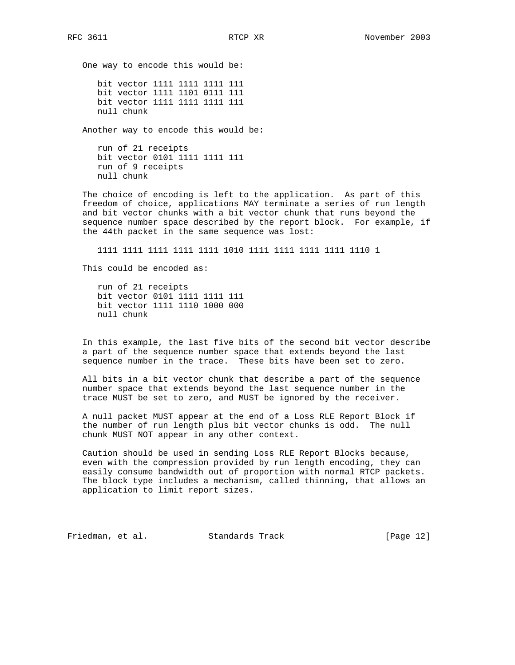One way to encode this would be:

 bit vector 1111 1111 1111 111 bit vector 1111 1101 0111 111 bit vector 1111 1111 1111 111 null chunk

Another way to encode this would be:

 run of 21 receipts bit vector 0101 1111 1111 111 run of 9 receipts null chunk

 The choice of encoding is left to the application. As part of this freedom of choice, applications MAY terminate a series of run length and bit vector chunks with a bit vector chunk that runs beyond the sequence number space described by the report block. For example, if the 44th packet in the same sequence was lost:

1111 1111 1111 1111 1111 1010 1111 1111 1111 1111 1110 1

This could be encoded as:

 run of 21 receipts bit vector 0101 1111 1111 111 bit vector 1111 1110 1000 000 null chunk

 In this example, the last five bits of the second bit vector describe a part of the sequence number space that extends beyond the last sequence number in the trace. These bits have been set to zero.

 All bits in a bit vector chunk that describe a part of the sequence number space that extends beyond the last sequence number in the trace MUST be set to zero, and MUST be ignored by the receiver.

 A null packet MUST appear at the end of a Loss RLE Report Block if the number of run length plus bit vector chunks is odd. The null chunk MUST NOT appear in any other context.

 Caution should be used in sending Loss RLE Report Blocks because, even with the compression provided by run length encoding, they can easily consume bandwidth out of proportion with normal RTCP packets. The block type includes a mechanism, called thinning, that allows an application to limit report sizes.

Friedman, et al. Standards Track [Page 12]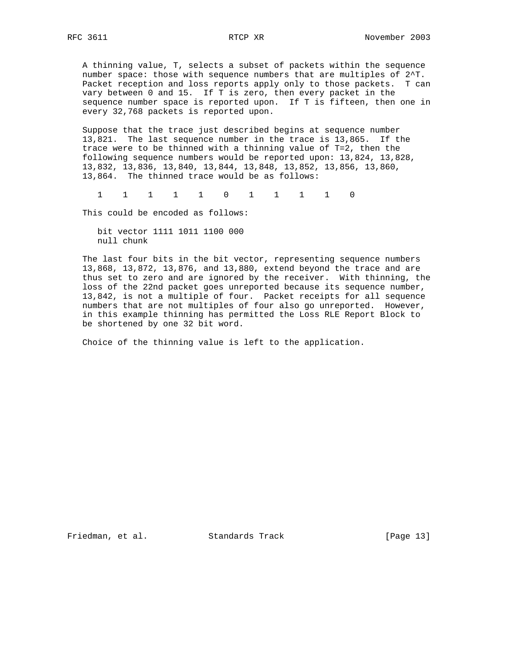A thinning value, T, selects a subset of packets within the sequence number space: those with sequence numbers that are multiples of 2^T. Packet reception and loss reports apply only to those packets. T can vary between 0 and 15. If T is zero, then every packet in the sequence number space is reported upon. If T is fifteen, then one in every 32,768 packets is reported upon.

 Suppose that the trace just described begins at sequence number 13,821. The last sequence number in the trace is 13,865. If the trace were to be thinned with a thinning value of T=2, then the following sequence numbers would be reported upon: 13,824, 13,828, 13,832, 13,836, 13,840, 13,844, 13,848, 13,852, 13,856, 13,860, 13,864. The thinned trace would be as follows:

1 1 1 1 1 0 1 1 1 1 0

This could be encoded as follows:

 bit vector 1111 1011 1100 000 null chunk

 The last four bits in the bit vector, representing sequence numbers 13,868, 13,872, 13,876, and 13,880, extend beyond the trace and are thus set to zero and are ignored by the receiver. With thinning, the loss of the 22nd packet goes unreported because its sequence number, 13,842, is not a multiple of four. Packet receipts for all sequence numbers that are not multiples of four also go unreported. However, in this example thinning has permitted the Loss RLE Report Block to be shortened by one 32 bit word.

Choice of the thinning value is left to the application.

Friedman, et al. Standards Track [Page 13]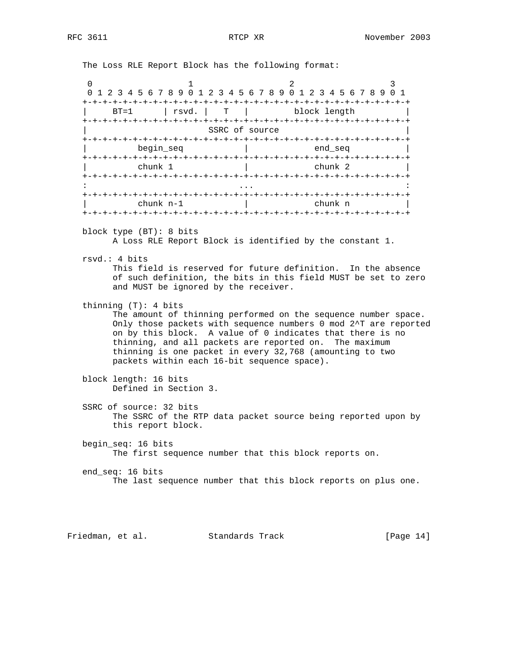The Loss RLE Report Block has the following format:

|               | 0 1 2 3 4 5 6 7 8 9 0 1 2 3 4 5 6 7 8 9 0 1 2 3 4 5 6 7 8 9 |                   |                |               |  |  |
|---------------|-------------------------------------------------------------|-------------------|----------------|---------------|--|--|
|               | -+-+-+-+-+-+-+-+-+-+-+                                      |                   |                | +-+-+-+-+-+-+ |  |  |
| $BT=1$        | rsvd.                                                       | $T \qquad \qquad$ |                | block length  |  |  |
| +-+-+-+-+-+-+ |                                                             |                   |                |               |  |  |
|               |                                                             |                   | SSRC of source |               |  |  |
|               | +-+-+-+-+-+-+-+-+-+-+-+-+-+-+-+-+                           |                   |                |               |  |  |
|               | begin seg                                                   |                   |                | end seg       |  |  |
|               |                                                             |                   |                |               |  |  |
|               | chunk 1                                                     |                   |                | chunk 2       |  |  |
|               |                                                             |                   |                |               |  |  |
|               |                                                             |                   |                |               |  |  |
|               |                                                             |                   |                |               |  |  |
|               | $chunk n-1$                                                 |                   |                | chunk n       |  |  |
|               |                                                             |                   |                |               |  |  |
|               |                                                             |                   |                |               |  |  |

block type (BT): 8 bits

A Loss RLE Report Block is identified by the constant 1.

rsvd.: 4 bits

 This field is reserved for future definition. In the absence of such definition, the bits in this field MUST be set to zero and MUST be ignored by the receiver.

thinning (T): 4 bits

 The amount of thinning performed on the sequence number space. Only those packets with sequence numbers 0 mod 2^T are reported on by this block. A value of 0 indicates that there is no thinning, and all packets are reported on. The maximum thinning is one packet in every 32,768 (amounting to two packets within each 16-bit sequence space).

- block length: 16 bits Defined in Section 3.
- SSRC of source: 32 bits The SSRC of the RTP data packet source being reported upon by this report block.
- begin\_seq: 16 bits The first sequence number that this block reports on.
- end\_seq: 16 bits The last sequence number that this block reports on plus one.

Friedman, et al. Standards Track [Page 14]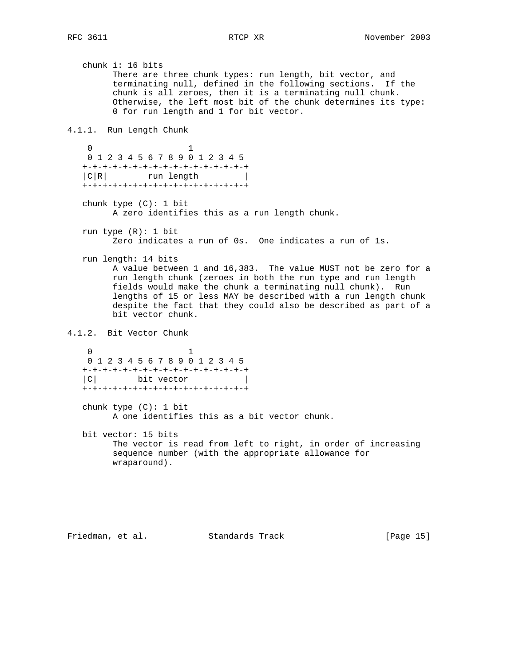chunk i: 16 bits There are three chunk types: run length, bit vector, and terminating null, defined in the following sections. If the chunk is all zeroes, then it is a terminating null chunk. Otherwise, the left most bit of the chunk determines its type: 0 for run length and 1 for bit vector. 4.1.1. Run Length Chunk 0 1 0 1 2 3 4 5 6 7 8 9 0 1 2 3 4 5 +-+-+-+-+-+-+-+-+-+-+-+-+-+-+-+-+ |C|R| run length | +-+-+-+-+-+-+-+-+-+-+-+-+-+-+-+-+ chunk type (C): 1 bit A zero identifies this as a run length chunk. run type (R): 1 bit Zero indicates a run of 0s. One indicates a run of 1s. run length: 14 bits A value between 1 and 16,383. The value MUST not be zero for a run length chunk (zeroes in both the run type and run length fields would make the chunk a terminating null chunk). Run lengths of 15 or less MAY be described with a run length chunk despite the fact that they could also be described as part of a bit vector chunk. 4.1.2. Bit Vector Chunk 0 1 0 1 2 3 4 5 6 7 8 9 0 1 2 3 4 5 +-+-+-+-+-+-+-+-+-+-+-+-+-+-+-+-+  $|C|$  bit vector +-+-+-+-+-+-+-+-+-+-+-+-+-+-+-+-+ chunk type (C): 1 bit A one identifies this as a bit vector chunk. bit vector: 15 bits The vector is read from left to right, in order of increasing sequence number (with the appropriate allowance for wraparound).

Friedman, et al. Standards Track [Page 15]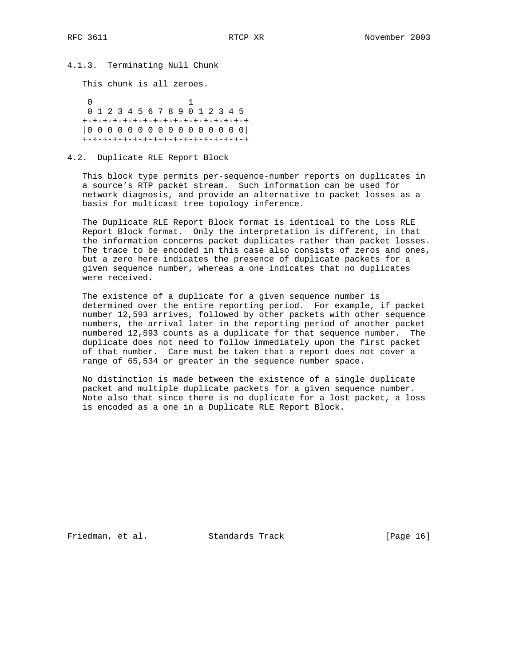4.1.3. Terminating Null Chunk

This chunk is all zeroes.

 0 1 0 1 2 3 4 5 6 7 8 9 0 1 2 3 4 5 +-+-+-+-+-+-+-+-+-+-+-+-+-+-+-+-+ |0 0 0 0 0 0 0 0 0 0 0 0 0 0 0 0| +-+-+-+-+-+-+-+-+-+-+-+-+-+-+-+-+

4.2. Duplicate RLE Report Block

 This block type permits per-sequence-number reports on duplicates in a source's RTP packet stream. Such information can be used for network diagnosis, and provide an alternative to packet losses as a basis for multicast tree topology inference.

 The Duplicate RLE Report Block format is identical to the Loss RLE Report Block format. Only the interpretation is different, in that the information concerns packet duplicates rather than packet losses. The trace to be encoded in this case also consists of zeros and ones, but a zero here indicates the presence of duplicate packets for a given sequence number, whereas a one indicates that no duplicates were received.

 The existence of a duplicate for a given sequence number is determined over the entire reporting period. For example, if packet number 12,593 arrives, followed by other packets with other sequence numbers, the arrival later in the reporting period of another packet numbered 12,593 counts as a duplicate for that sequence number. The duplicate does not need to follow immediately upon the first packet of that number. Care must be taken that a report does not cover a range of 65,534 or greater in the sequence number space.

 No distinction is made between the existence of a single duplicate packet and multiple duplicate packets for a given sequence number. Note also that since there is no duplicate for a lost packet, a loss is encoded as a one in a Duplicate RLE Report Block.

Friedman, et al. Standards Track [Page 16]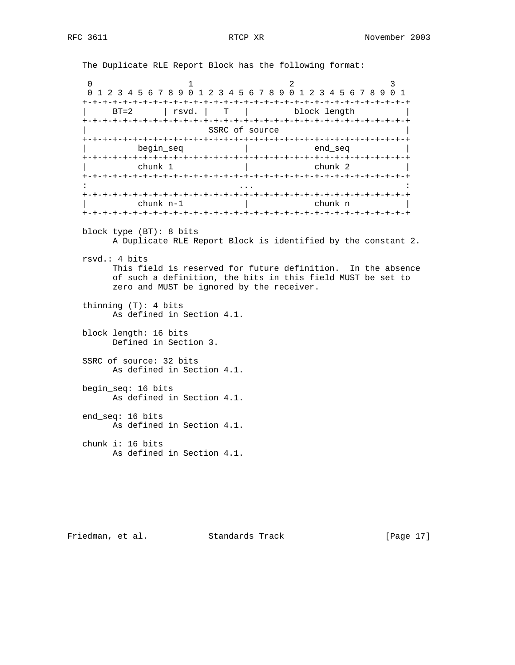The Duplicate RLE Report Block has the following format:

0  $1$  2 3 0 1 2 3 4 5 6 7 8 9 0 1 2 3 4 5 6 7 8 9 0 1 2 3 4 5 6 7 8 9 0 1 +-+-+-+-+-+-+-+-+-+-+-+-+-+-+-+-+-+-+-+-+-+-+-+-+-+-+-+-+-+-+-+-+ | BT=2 | rsvd. | T | block length | +-+-+-+-+-+-+-+-+-+-+-+-+-+-+-+-+-+-+-+-+-+-+-+-+-+-+-+-+-+-+-+-+ SSRC of source +-+-+-+-+-+-+-+-+-+-+-+-+-+-+-+-+-+-+-+-+-+-+-+-+-+-+-+-+-+-+-+-+  $begin$  begin\_seq  $|$  end\_seq +-+-+-+-+-+-+-+-+-+-+-+-+-+-+-+-+-+-+-+-+-+-+-+-+-+-+-+-+-+-+-+-+ | chunk 1 | chunk 2 | +-+-+-+-+-+-+-+-+-+-+-+-+-+-+-+-+-+-+-+-+-+-+-+-+-+-+-+-+-+-+-+-+ : ... : +-+-+-+-+-+-+-+-+-+-+-+-+-+-+-+-+-+-+-+-+-+-+-+-+-+-+-+-+-+-+-+-+ | chunk n-1 | chunk n | +-+-+-+-+-+-+-+-+-+-+-+-+-+-+-+-+-+-+-+-+-+-+-+-+-+-+-+-+-+-+-+-+ block type (BT): 8 bits A Duplicate RLE Report Block is identified by the constant 2. rsvd.: 4 bits This field is reserved for future definition. In the absence of such a definition, the bits in this field MUST be set to zero and MUST be ignored by the receiver. thinning (T): 4 bits As defined in Section 4.1. block length: 16 bits Defined in Section 3. SSRC of source: 32 bits As defined in Section 4.1. begin\_seq: 16 bits As defined in Section 4.1. end\_seq: 16 bits As defined in Section 4.1. chunk i: 16 bits As defined in Section 4.1.

Friedman, et al. Standards Track [Page 17]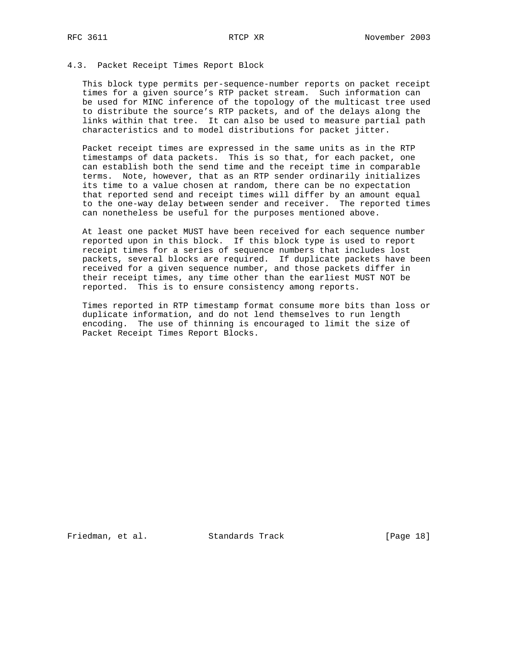# 4.3. Packet Receipt Times Report Block

 This block type permits per-sequence-number reports on packet receipt times for a given source's RTP packet stream. Such information can be used for MINC inference of the topology of the multicast tree used to distribute the source's RTP packets, and of the delays along the links within that tree. It can also be used to measure partial path characteristics and to model distributions for packet jitter.

 Packet receipt times are expressed in the same units as in the RTP timestamps of data packets. This is so that, for each packet, one can establish both the send time and the receipt time in comparable terms. Note, however, that as an RTP sender ordinarily initializes its time to a value chosen at random, there can be no expectation that reported send and receipt times will differ by an amount equal to the one-way delay between sender and receiver. The reported times can nonetheless be useful for the purposes mentioned above.

 At least one packet MUST have been received for each sequence number reported upon in this block. If this block type is used to report receipt times for a series of sequence numbers that includes lost packets, several blocks are required. If duplicate packets have been received for a given sequence number, and those packets differ in their receipt times, any time other than the earliest MUST NOT be reported. This is to ensure consistency among reports.

 Times reported in RTP timestamp format consume more bits than loss or duplicate information, and do not lend themselves to run length encoding. The use of thinning is encouraged to limit the size of Packet Receipt Times Report Blocks.

Friedman, et al. Standards Track [Page 18]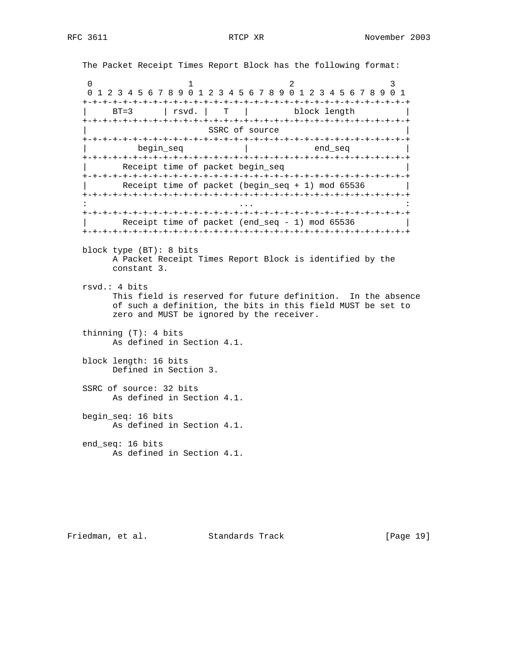The Packet Receipt Times Report Block has the following format: 0  $1$  2 3 0 1 2 3 4 5 6 7 8 9 0 1 2 3 4 5 6 7 8 9 0 1 2 3 4 5 6 7 8 9 0 1 +-+-+-+-+-+-+-+-+-+-+-+-+-+-+-+-+-+-+-+-+-+-+-+-+-+-+-+-+-+-+-+-+ | BT=3 | rsvd. | T | block length | +-+-+-+-+-+-+-+-+-+-+-+-+-+-+-+-+-+-+-+-+-+-+-+-+-+-+-+-+-+-+-+-+ SSRC of source +-+-+-+-+-+-+-+-+-+-+-+-+-+-+-+-+-+-+-+-+-+-+-+-+-+-+-+-+-+-+-+-+  $begin$  begin\_seq  $|$  end\_seq +-+-+-+-+-+-+-+-+-+-+-+-+-+-+-+-+-+-+-+-+-+-+-+-+-+-+-+-+-+-+-+-+ Receipt time of packet begin\_seq +-+-+-+-+-+-+-+-+-+-+-+-+-+-+-+-+-+-+-+-+-+-+-+-+-+-+-+-+-+-+-+-+ Receipt time of packet (begin\_seq + 1) mod 65536 +-+-+-+-+-+-+-+-+-+-+-+-+-+-+-+-+-+-+-+-+-+-+-+-+-+-+-+-+-+-+-+-+ : ... : +-+-+-+-+-+-+-+-+-+-+-+-+-+-+-+-+-+-+-+-+-+-+-+-+-+-+-+-+-+-+-+-+ Receipt time of packet (end\_seq - 1) mod 65536 +-+-+-+-+-+-+-+-+-+-+-+-+-+-+-+-+-+-+-+-+-+-+-+-+-+-+-+-+-+-+-+-+ block type (BT): 8 bits A Packet Receipt Times Report Block is identified by the constant 3. rsvd.: 4 bits This field is reserved for future definition. In the absence of such a definition, the bits in this field MUST be set to zero and MUST be ignored by the receiver. thinning (T): 4 bits As defined in Section 4.1. block length: 16 bits Defined in Section 3. SSRC of source: 32 bits As defined in Section 4.1. begin\_seq: 16 bits As defined in Section 4.1. end\_seq: 16 bits As defined in Section 4.1.

Friedman, et al. Standards Track [Page 19]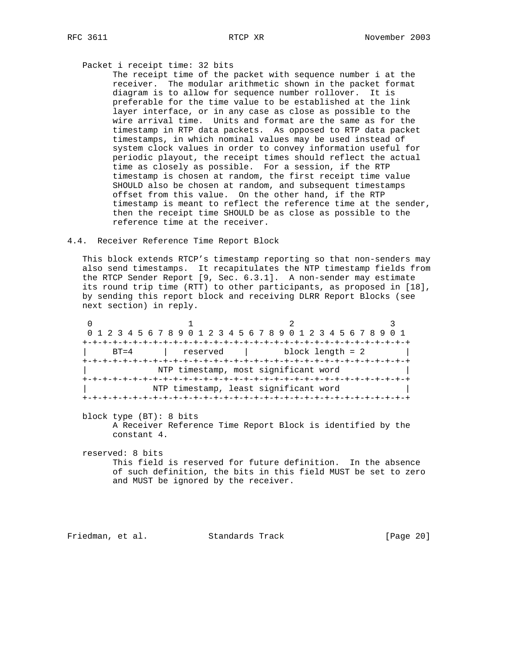### Packet i receipt time: 32 bits

 The receipt time of the packet with sequence number i at the receiver. The modular arithmetic shown in the packet format diagram is to allow for sequence number rollover. It is preferable for the time value to be established at the link layer interface, or in any case as close as possible to the wire arrival time. Units and format are the same as for the timestamp in RTP data packets. As opposed to RTP data packet timestamps, in which nominal values may be used instead of system clock values in order to convey information useful for periodic playout, the receipt times should reflect the actual time as closely as possible. For a session, if the RTP timestamp is chosen at random, the first receipt time value SHOULD also be chosen at random, and subsequent timestamps offset from this value. On the other hand, if the RTP timestamp is meant to reflect the reference time at the sender, then the receipt time SHOULD be as close as possible to the reference time at the receiver.

### 4.4. Receiver Reference Time Report Block

 This block extends RTCP's timestamp reporting so that non-senders may also send timestamps. It recapitulates the NTP timestamp fields from the RTCP Sender Report [9, Sec. 6.3.1]. A non-sender may estimate its round trip time (RTT) to other participants, as proposed in [18], by sending this report block and receiving DLRR Report Blocks (see next section) in reply.

|          |          | 0 1 2 3 4 5 6 7 8 9 0 1 2 3 4 5 6 7 8 9 0 1 2 3 4 5 6 7 8 9 0 1 |  |  |  |
|----------|----------|-----------------------------------------------------------------|--|--|--|
|          |          |                                                                 |  |  |  |
| $RT = 4$ | reserved | block length = 2                                                |  |  |  |
|          |          |                                                                 |  |  |  |
|          |          | NTP timestamp, most significant word                            |  |  |  |
|          |          | +-+-+-+-+-+-+-+-+-+-+-+-+-+-+-+-+-+                             |  |  |  |
|          |          | NTP timestamp, least significant word                           |  |  |  |
|          |          |                                                                 |  |  |  |

 block type (BT): 8 bits A Receiver Reference Time Report Block is identified by the constant 4.

 reserved: 8 bits This field is reserved for future definition. In the absence of such definition, the bits in this field MUST be set to zero and MUST be ignored by the receiver.

Friedman, et al. Standards Track [Page 20]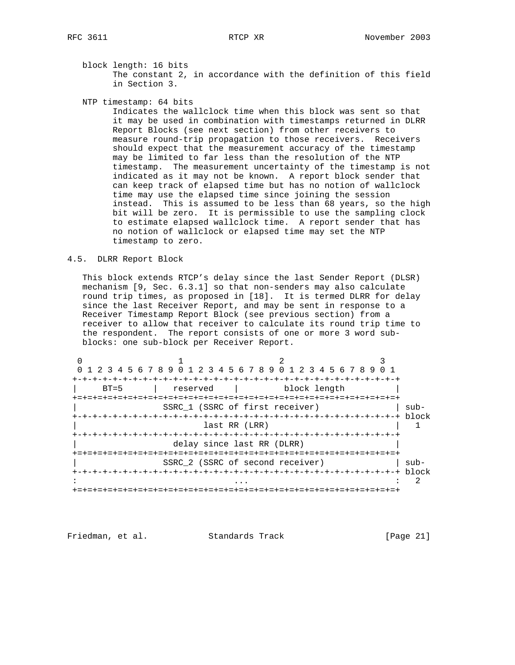block length: 16 bits The constant 2, in accordance with the definition of this field in Section 3.

NTP timestamp: 64 bits

 Indicates the wallclock time when this block was sent so that it may be used in combination with timestamps returned in DLRR Report Blocks (see next section) from other receivers to measure round-trip propagation to those receivers. Receivers should expect that the measurement accuracy of the timestamp may be limited to far less than the resolution of the NTP timestamp. The measurement uncertainty of the timestamp is not indicated as it may not be known. A report block sender that can keep track of elapsed time but has no notion of wallclock time may use the elapsed time since joining the session instead. This is assumed to be less than 68 years, so the high bit will be zero. It is permissible to use the sampling clock to estimate elapsed wallclock time. A report sender that has no notion of wallclock or elapsed time may set the NTP timestamp to zero.

### 4.5. DLRR Report Block

 This block extends RTCP's delay since the last Sender Report (DLSR) mechanism [9, Sec. 6.3.1] so that non-senders may also calculate round trip times, as proposed in [18]. It is termed DLRR for delay since the last Receiver Report, and may be sent in response to a Receiver Timestamp Report Block (see previous section) from a receiver to allow that receiver to calculate its round trip time to the respondent. The report consists of one or more 3 word sub blocks: one sub-block per Receiver Report.

|        | 1 2 3 4 5 6 7 8 9 0 1 2 3 4 5 6 7 8 9 0 1 2 3 4 5 6 7 8 9 0 1 |              |      |
|--------|---------------------------------------------------------------|--------------|------|
|        | -+-+-+-+-+-+-+-+-+-+-+-+-+-+-+-+-+-+                          |              |      |
| $BT=5$ | reserved                                                      | block length |      |
|        |                                                               |              |      |
|        | SSRC 1 (SSRC of first receiver)                               |              | sub- |
|        |                                                               |              |      |
|        | last RR (LRR)                                                 |              |      |
|        |                                                               |              |      |
|        | delay since last RR (DLRR)                                    |              |      |
|        |                                                               |              |      |
|        | SSRC 2 (SSRC of second receiver)                              |              | sub- |
|        |                                                               |              |      |
|        |                                                               |              |      |
|        |                                                               |              |      |

Friedman, et al. Standards Track [Page 21]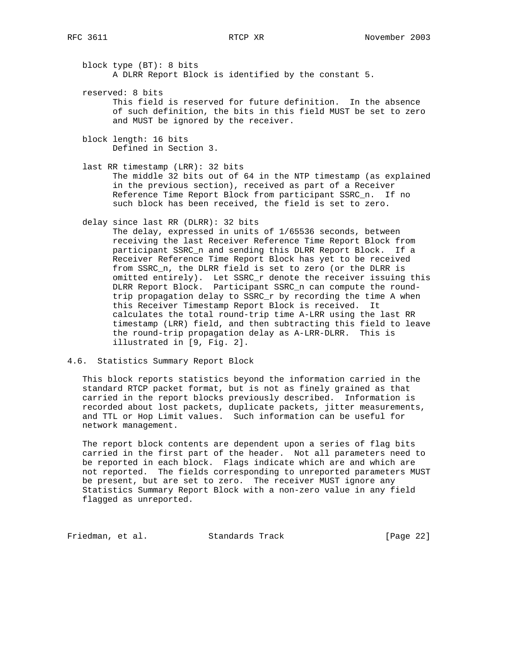block type (BT): 8 bits A DLRR Report Block is identified by the constant 5.

 reserved: 8 bits This field is reserved for future definition. In the absence of such definition, the bits in this field MUST be set to zero and MUST be ignored by the receiver.

 block length: 16 bits Defined in Section 3.

 last RR timestamp (LRR): 32 bits The middle 32 bits out of 64 in the NTP timestamp (as explained in the previous section), received as part of a Receiver Reference Time Report Block from participant SSRC\_n. If no such block has been received, the field is set to zero.

delay since last RR (DLRR): 32 bits

 The delay, expressed in units of 1/65536 seconds, between receiving the last Receiver Reference Time Report Block from participant SSRC\_n and sending this DLRR Report Block. If a Receiver Reference Time Report Block has yet to be received from SSRC\_n, the DLRR field is set to zero (or the DLRR is omitted entirely). Let SSRC\_r denote the receiver issuing this DLRR Report Block. Participant SSRC\_n can compute the round trip propagation delay to SSRC\_r by recording the time A when this Receiver Timestamp Report Block is received. It calculates the total round-trip time A-LRR using the last RR timestamp (LRR) field, and then subtracting this field to leave the round-trip propagation delay as A-LRR-DLRR. This is illustrated in [9, Fig. 2].

4.6. Statistics Summary Report Block

 This block reports statistics beyond the information carried in the standard RTCP packet format, but is not as finely grained as that carried in the report blocks previously described. Information is recorded about lost packets, duplicate packets, jitter measurements, and TTL or Hop Limit values. Such information can be useful for network management.

 The report block contents are dependent upon a series of flag bits carried in the first part of the header. Not all parameters need to be reported in each block. Flags indicate which are and which are not reported. The fields corresponding to unreported parameters MUST be present, but are set to zero. The receiver MUST ignore any Statistics Summary Report Block with a non-zero value in any field flagged as unreported.

Friedman, et al. Standards Track [Page 22]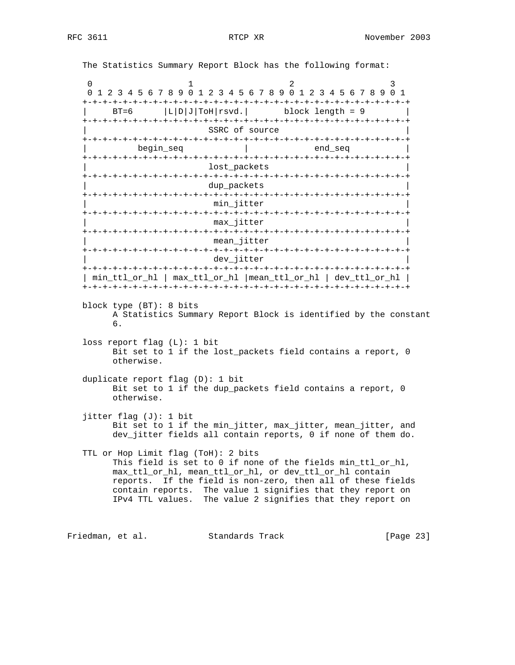The Statistics Summary Report Block has the following format: 0  $1$  2 3 0 1 2 3 4 5 6 7 8 9 0 1 2 3 4 5 6 7 8 9 0 1 2 3 4 5 6 7 8 9 0 1 +-+-+-+-+-+-+-+-+-+-+-+-+-+-+-+-+-+-+-+-+-+-+-+-+-+-+-+-+-+-+-+-+  $|\text{B}T=6$   $|\text{L}|D|J|T \text{OH}|r s v d.$  block length = 9 | +-+-+-+-+-+-+-+-+-+-+-+-+-+-+-+-+-+-+-+-+-+-+-+-+-+-+-+-+-+-+-+-+ SSRC of source +-+-+-+-+-+-+-+-+-+-+-+-+-+-+-+-+-+-+-+-+-+-+-+-+-+-+-+-+-+-+-+-+  $begin$  begin\_seq  $|$  end\_seq +-+-+-+-+-+-+-+-+-+-+-+-+-+-+-+-+-+-+-+-+-+-+-+-+-+-+-+-+-+-+-+-+ lost\_packets +-+-+-+-+-+-+-+-+-+-+-+-+-+-+-+-+-+-+-+-+-+-+-+-+-+-+-+-+-+-+-+-+ dup\_packets +-+-+-+-+-+-+-+-+-+-+-+-+-+-+-+-+-+-+-+-+-+-+-+-+-+-+-+-+-+-+-+-+ min\_jitter +-+-+-+-+-+-+-+-+-+-+-+-+-+-+-+-+-+-+-+-+-+-+-+-+-+-+-+-+-+-+-+-+ max\_jitter +-+-+-+-+-+-+-+-+-+-+-+-+-+-+-+-+-+-+-+-+-+-+-+-+-+-+-+-+-+-+-+-+ mean\_jitter +-+-+-+-+-+-+-+-+-+-+-+-+-+-+-+-+-+-+-+-+-+-+-+-+-+-+-+-+-+-+-+-+ dev\_jitter +-+-+-+-+-+-+-+-+-+-+-+-+-+-+-+-+-+-+-+-+-+-+-+-+-+-+-+-+-+-+-+-+ | min\_ttl\_or\_hl | max\_ttl\_or\_hl |mean\_ttl\_or\_hl | dev\_ttl\_or\_hl | +-+-+-+-+-+-+-+-+-+-+-+-+-+-+-+-+-+-+-+-+-+-+-+-+-+-+-+-+-+-+-+-+ block type (BT): 8 bits A Statistics Summary Report Block is identified by the constant 6. loss report flag (L): 1 bit Bit set to 1 if the lost\_packets field contains a report, 0 otherwise. duplicate report flag (D): 1 bit Bit set to 1 if the dup\_packets field contains a report, 0 otherwise. jitter flag (J): 1 bit Bit set to 1 if the min\_jitter, max\_jitter, mean\_jitter, and dev\_jitter fields all contain reports, 0 if none of them do. TTL or Hop Limit flag (ToH): 2 bits This field is set to 0 if none of the fields min\_ttl\_or\_hl, max\_ttl\_or\_hl, mean\_ttl\_or\_hl, or dev\_ttl\_or\_hl contain reports. If the field is non-zero, then all of these fields contain reports. The value 1 signifies that they report on IPv4 TTL values. The value 2 signifies that they report on Friedman, et al. Standards Track [Page 23]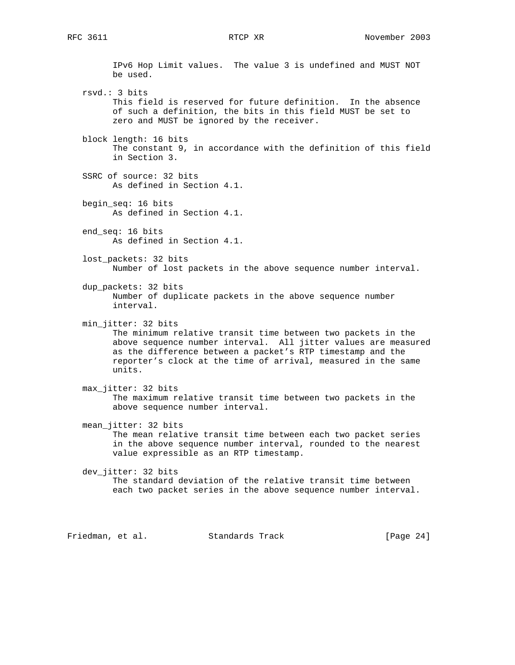IPv6 Hop Limit values. The value 3 is undefined and MUST NOT be used. rsvd.: 3 bits This field is reserved for future definition. In the absence of such a definition, the bits in this field MUST be set to zero and MUST be ignored by the receiver. block length: 16 bits The constant 9, in accordance with the definition of this field in Section 3. SSRC of source: 32 bits As defined in Section 4.1. begin\_seq: 16 bits As defined in Section 4.1. end\_seq: 16 bits As defined in Section 4.1. lost packets: 32 bits Number of lost packets in the above sequence number interval. dup\_packets: 32 bits Number of duplicate packets in the above sequence number interval. min\_jitter: 32 bits The minimum relative transit time between two packets in the above sequence number interval. All jitter values are measured as the difference between a packet's RTP timestamp and the reporter's clock at the time of arrival, measured in the same units. max\_jitter: 32 bits The maximum relative transit time between two packets in the above sequence number interval. mean\_jitter: 32 bits The mean relative transit time between each two packet series in the above sequence number interval, rounded to the nearest value expressible as an RTP timestamp. dev\_jitter: 32 bits The standard deviation of the relative transit time between each two packet series in the above sequence number interval.

Friedman, et al. Standards Track [Page 24]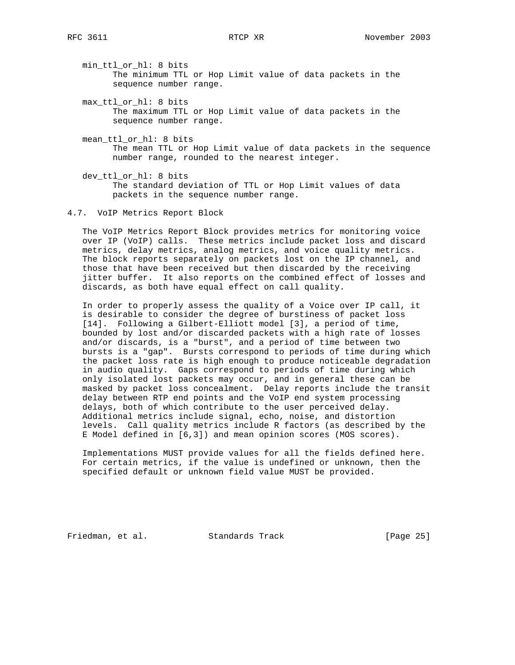min\_ttl\_or\_hl: 8 bits The minimum TTL or Hop Limit value of data packets in the sequence number range.

- max\_ttl\_or\_hl: 8 bits The maximum TTL or Hop Limit value of data packets in the sequence number range.
- mean\_ttl\_or\_hl: 8 bits The mean TTL or Hop Limit value of data packets in the sequence number range, rounded to the nearest integer.
- dev\_ttl\_or\_hl: 8 bits The standard deviation of TTL or Hop Limit values of data packets in the sequence number range.
- 4.7. VoIP Metrics Report Block

 The VoIP Metrics Report Block provides metrics for monitoring voice over IP (VoIP) calls. These metrics include packet loss and discard metrics, delay metrics, analog metrics, and voice quality metrics. The block reports separately on packets lost on the IP channel, and those that have been received but then discarded by the receiving jitter buffer. It also reports on the combined effect of losses and discards, as both have equal effect on call quality.

 In order to properly assess the quality of a Voice over IP call, it is desirable to consider the degree of burstiness of packet loss [14]. Following a Gilbert-Elliott model [3], a period of time, bounded by lost and/or discarded packets with a high rate of losses and/or discards, is a "burst", and a period of time between two bursts is a "gap". Bursts correspond to periods of time during which the packet loss rate is high enough to produce noticeable degradation in audio quality. Gaps correspond to periods of time during which only isolated lost packets may occur, and in general these can be masked by packet loss concealment. Delay reports include the transit delay between RTP end points and the VoIP end system processing delays, both of which contribute to the user perceived delay. Additional metrics include signal, echo, noise, and distortion levels. Call quality metrics include R factors (as described by the E Model defined in [6,3]) and mean opinion scores (MOS scores).

 Implementations MUST provide values for all the fields defined here. For certain metrics, if the value is undefined or unknown, then the specified default or unknown field value MUST be provided.

Friedman, et al. Standards Track [Page 25]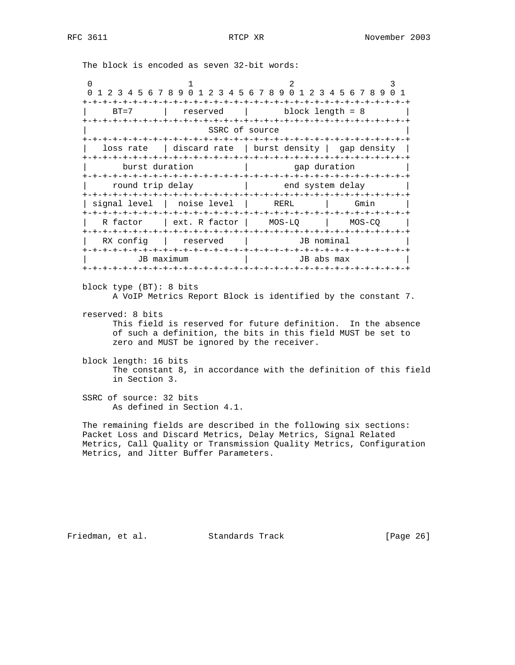The block is encoded as seven 32-bit words:

0  $1$  2 3 0 1 2 3 4 5 6 7 8 9 0 1 2 3 4 5 6 7 8 9 0 1 2 3 4 5 6 7 8 9 0 1 +-+-+-+-+-+-+-+-+-+-+-+-+-+-+-+-+-+-+-+-+-+-+-+-+-+-+-+-+-+-+-+-+ | BT=7 | reserved | block length = 8 | +-+-+-+-+-+-+-+-+-+-+-+-+-+-+-+-+-+-+-+-+-+-+-+-+-+-+-+-+-+-+-+-+ SSRC of source +-+-+-+-+-+-+-+-+-+-+-+-+-+-+-+-+-+-+-+-+-+-+-+-+-+-+-+-+-+-+-+-+ | loss rate | discard rate | burst density | gap density | +-+-+-+-+-+-+-+-+-+-+-+-+-+-+-+-+-+-+-+-+-+-+-+-+-+-+-+-+-+-+-+-+ burst duration  $|$  gap duration +-+-+-+-+-+-+-+-+-+-+-+-+-+-+-+-+-+-+-+-+-+-+-+-+-+-+-+-+-+-+-+-+ | round trip delay | end system delay | +-+-+-+-+-+-+-+-+-+-+-+-+-+-+-+-+-+-+-+-+-+-+-+-+-+-+-+-+-+-+-+-+ | signal level | noise level | RERL | Gmin +-+-+-+-+-+-+-+-+-+-+-+-+-+-+-+-+-+-+-+-+-+-+-+-+-+-+-+-+-+-+-+-+ | R factor | ext. R factor | MOS-LQ | MOS-CQ | +-+-+-+-+-+-+-+-+-+-+-+-+-+-+-+-+-+-+-+-+-+-+-+-+-+-+-+-+-+-+-+-+ | RX config | reserved | JB nominal +-+-+-+-+-+-+-+-+-+-+-+-+-+-+-+-+-+-+-+-+-+-+-+-+-+-+-+-+-+-+-+-+ | JB maximum | JB abs max | +-+-+-+-+-+-+-+-+-+-+-+-+-+-+-+-+-+-+-+-+-+-+-+-+-+-+-+-+-+-+-+-+

- block type (BT): 8 bits A VoIP Metrics Report Block is identified by the constant 7.
- reserved: 8 bits This field is reserved for future definition. In the absence of such a definition, the bits in this field MUST be set to zero and MUST be ignored by the receiver.
- block length: 16 bits The constant 8, in accordance with the definition of this field in Section 3.
- SSRC of source: 32 bits As defined in Section 4.1.

 The remaining fields are described in the following six sections: Packet Loss and Discard Metrics, Delay Metrics, Signal Related Metrics, Call Quality or Transmission Quality Metrics, Configuration Metrics, and Jitter Buffer Parameters.

Friedman, et al. Standards Track [Page 26]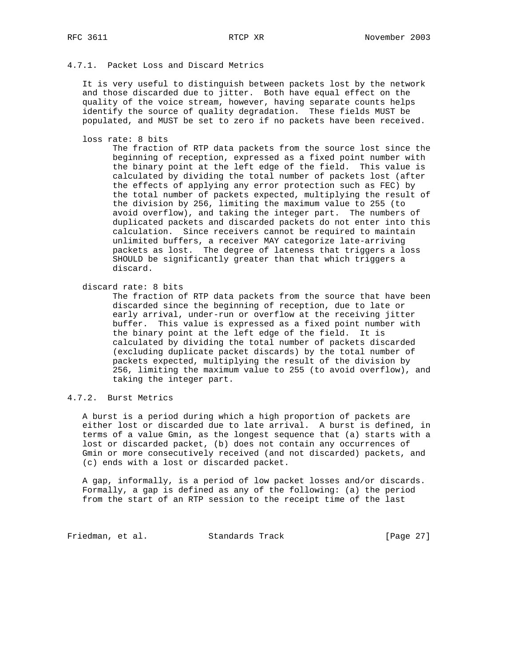# 4.7.1. Packet Loss and Discard Metrics

 It is very useful to distinguish between packets lost by the network and those discarded due to jitter. Both have equal effect on the quality of the voice stream, however, having separate counts helps identify the source of quality degradation. These fields MUST be populated, and MUST be set to zero if no packets have been received.

loss rate: 8 bits

 The fraction of RTP data packets from the source lost since the beginning of reception, expressed as a fixed point number with the binary point at the left edge of the field. This value is calculated by dividing the total number of packets lost (after the effects of applying any error protection such as FEC) by the total number of packets expected, multiplying the result of the division by 256, limiting the maximum value to 255 (to avoid overflow), and taking the integer part. The numbers of duplicated packets and discarded packets do not enter into this calculation. Since receivers cannot be required to maintain unlimited buffers, a receiver MAY categorize late-arriving packets as lost. The degree of lateness that triggers a loss SHOULD be significantly greater than that which triggers a discard.

discard rate: 8 bits

 The fraction of RTP data packets from the source that have been discarded since the beginning of reception, due to late or early arrival, under-run or overflow at the receiving jitter buffer. This value is expressed as a fixed point number with the binary point at the left edge of the field. It is calculated by dividing the total number of packets discarded (excluding duplicate packet discards) by the total number of packets expected, multiplying the result of the division by 256, limiting the maximum value to 255 (to avoid overflow), and taking the integer part.

4.7.2. Burst Metrics

 A burst is a period during which a high proportion of packets are either lost or discarded due to late arrival. A burst is defined, in terms of a value Gmin, as the longest sequence that (a) starts with a lost or discarded packet, (b) does not contain any occurrences of Gmin or more consecutively received (and not discarded) packets, and (c) ends with a lost or discarded packet.

 A gap, informally, is a period of low packet losses and/or discards. Formally, a gap is defined as any of the following: (a) the period from the start of an RTP session to the receipt time of the last

Friedman, et al. Standards Track [Page 27]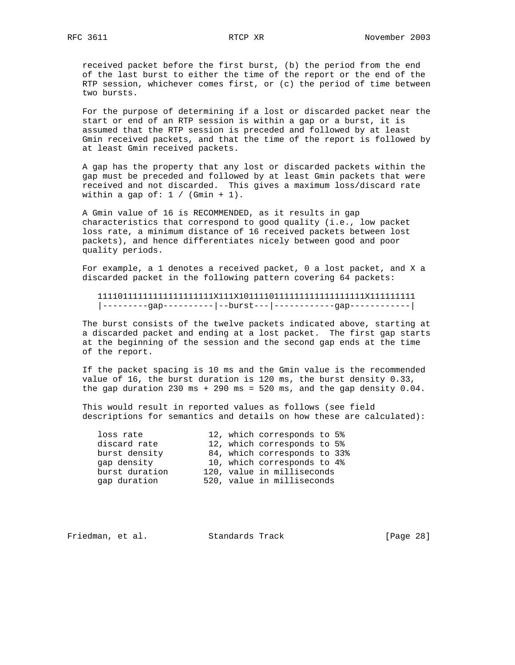received packet before the first burst, (b) the period from the end of the last burst to either the time of the report or the end of the RTP session, whichever comes first, or (c) the period of time between two bursts.

 For the purpose of determining if a lost or discarded packet near the start or end of an RTP session is within a gap or a burst, it is assumed that the RTP session is preceded and followed by at least Gmin received packets, and that the time of the report is followed by at least Gmin received packets.

 A gap has the property that any lost or discarded packets within the gap must be preceded and followed by at least Gmin packets that were received and not discarded. This gives a maximum loss/discard rate within a gap of:  $1 / (Gmin + 1)$ .

 A Gmin value of 16 is RECOMMENDED, as it results in gap characteristics that correspond to good quality (i.e., low packet loss rate, a minimum distance of 16 received packets between lost packets), and hence differentiates nicely between good and poor quality periods.

 For example, a 1 denotes a received packet, 0 a lost packet, and X a discarded packet in the following pattern covering 64 packets:

 11110111111111111111111X111X1011110111111111111111111X111111111 |---------gap----------|--burst---|------------gap------------|

 The burst consists of the twelve packets indicated above, starting at a discarded packet and ending at a lost packet. The first gap starts at the beginning of the session and the second gap ends at the time of the report.

 If the packet spacing is 10 ms and the Gmin value is the recommended value of 16, the burst duration is 120 ms, the burst density 0.33, the gap duration 230 ms + 290 ms = 520 ms, and the gap density  $0.04$ .

 This would result in reported values as follows (see field descriptions for semantics and details on how these are calculated):

| loss rate<br>discard rate<br>burst density<br>gap density<br>burst duration<br>gap duration |  | 12, which corresponds to 5%<br>12, which corresponds to 5%<br>84, which corresponds to 33%<br>10, which corresponds to 4%<br>120, value in milliseconds<br>520, value in milliseconds |
|---------------------------------------------------------------------------------------------|--|---------------------------------------------------------------------------------------------------------------------------------------------------------------------------------------|

| Friedman, et al. |  | Standards Track | [Page 28] |  |
|------------------|--|-----------------|-----------|--|
|------------------|--|-----------------|-----------|--|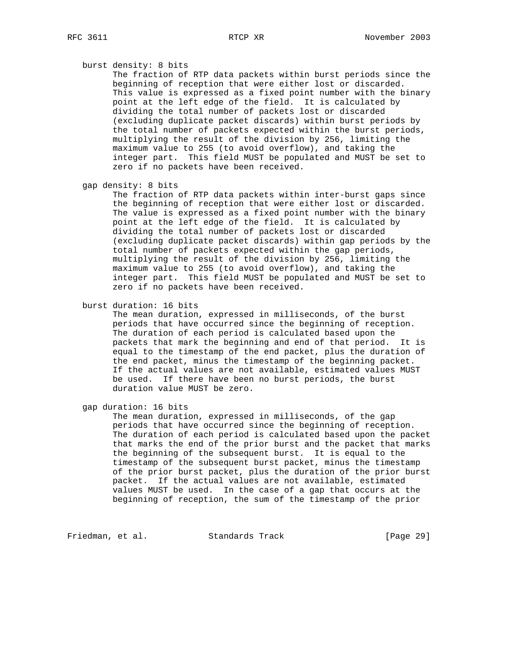## burst density: 8 bits

 The fraction of RTP data packets within burst periods since the beginning of reception that were either lost or discarded. This value is expressed as a fixed point number with the binary point at the left edge of the field. It is calculated by dividing the total number of packets lost or discarded (excluding duplicate packet discards) within burst periods by the total number of packets expected within the burst periods, multiplying the result of the division by 256, limiting the maximum value to 255 (to avoid overflow), and taking the integer part. This field MUST be populated and MUST be set to zero if no packets have been received.

```
 gap density: 8 bits
```
 The fraction of RTP data packets within inter-burst gaps since the beginning of reception that were either lost or discarded. The value is expressed as a fixed point number with the binary point at the left edge of the field. It is calculated by dividing the total number of packets lost or discarded (excluding duplicate packet discards) within gap periods by the total number of packets expected within the gap periods, multiplying the result of the division by 256, limiting the maximum value to 255 (to avoid overflow), and taking the integer part. This field MUST be populated and MUST be set to zero if no packets have been received.

burst duration: 16 bits

 The mean duration, expressed in milliseconds, of the burst periods that have occurred since the beginning of reception. The duration of each period is calculated based upon the packets that mark the beginning and end of that period. It is equal to the timestamp of the end packet, plus the duration of the end packet, minus the timestamp of the beginning packet. If the actual values are not available, estimated values MUST be used. If there have been no burst periods, the burst duration value MUST be zero.

gap duration: 16 bits

 The mean duration, expressed in milliseconds, of the gap periods that have occurred since the beginning of reception. The duration of each period is calculated based upon the packet that marks the end of the prior burst and the packet that marks the beginning of the subsequent burst. It is equal to the timestamp of the subsequent burst packet, minus the timestamp of the prior burst packet, plus the duration of the prior burst packet. If the actual values are not available, estimated values MUST be used. In the case of a gap that occurs at the beginning of reception, the sum of the timestamp of the prior

Friedman, et al. Standards Track [Page 29]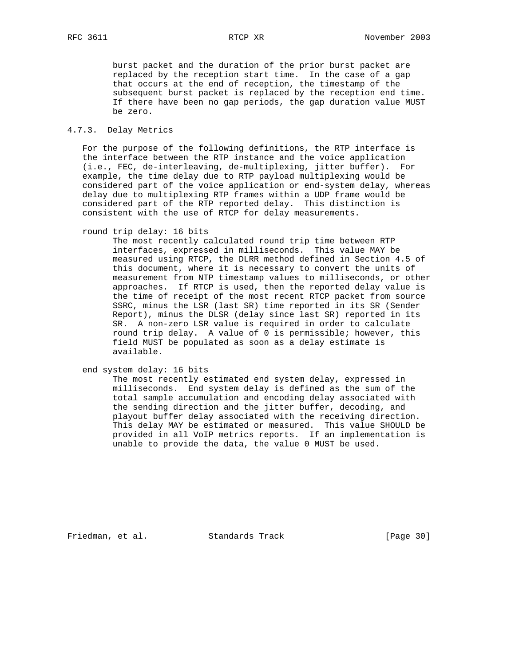burst packet and the duration of the prior burst packet are replaced by the reception start time. In the case of a gap that occurs at the end of reception, the timestamp of the subsequent burst packet is replaced by the reception end time. If there have been no gap periods, the gap duration value MUST be zero.

### 4.7.3. Delay Metrics

 For the purpose of the following definitions, the RTP interface is the interface between the RTP instance and the voice application (i.e., FEC, de-interleaving, de-multiplexing, jitter buffer). For example, the time delay due to RTP payload multiplexing would be considered part of the voice application or end-system delay, whereas delay due to multiplexing RTP frames within a UDP frame would be considered part of the RTP reported delay. This distinction is consistent with the use of RTCP for delay measurements.

round trip delay: 16 bits

 The most recently calculated round trip time between RTP interfaces, expressed in milliseconds. This value MAY be measured using RTCP, the DLRR method defined in Section 4.5 of this document, where it is necessary to convert the units of measurement from NTP timestamp values to milliseconds, or other approaches. If RTCP is used, then the reported delay value is the time of receipt of the most recent RTCP packet from source SSRC, minus the LSR (last SR) time reported in its SR (Sender Report), minus the DLSR (delay since last SR) reported in its SR. A non-zero LSR value is required in order to calculate round trip delay. A value of 0 is permissible; however, this field MUST be populated as soon as a delay estimate is available.

end system delay: 16 bits

 The most recently estimated end system delay, expressed in milliseconds. End system delay is defined as the sum of the total sample accumulation and encoding delay associated with the sending direction and the jitter buffer, decoding, and playout buffer delay associated with the receiving direction. This delay MAY be estimated or measured. This value SHOULD be provided in all VoIP metrics reports. If an implementation is unable to provide the data, the value 0 MUST be used.

Friedman, et al. Standards Track [Page 30]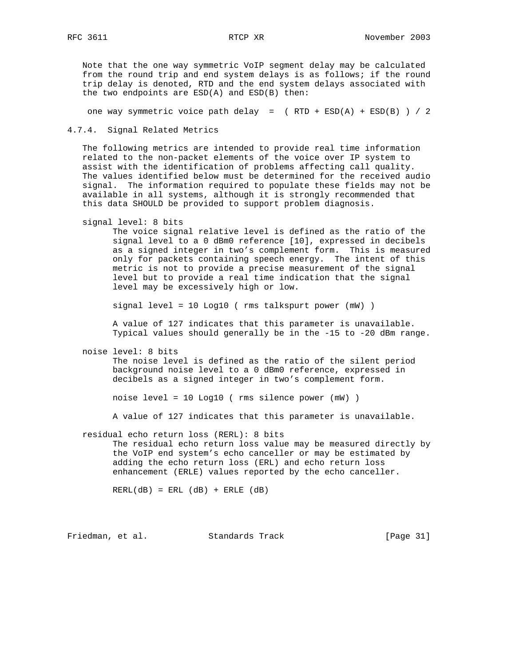Note that the one way symmetric VoIP segment delay may be calculated from the round trip and end system delays is as follows; if the round trip delay is denoted, RTD and the end system delays associated with the two endpoints are ESD(A) and ESD(B) then:

one way symmetric voice path delay =  $($  RTD + ESD(A) + ESD(B)  $) / 2$ 

4.7.4. Signal Related Metrics

 The following metrics are intended to provide real time information related to the non-packet elements of the voice over IP system to assist with the identification of problems affecting call quality. The values identified below must be determined for the received audio signal. The information required to populate these fields may not be available in all systems, although it is strongly recommended that this data SHOULD be provided to support problem diagnosis.

signal level: 8 bits

 The voice signal relative level is defined as the ratio of the signal level to a 0 dBm0 reference [10], expressed in decibels as a signed integer in two's complement form. This is measured only for packets containing speech energy. The intent of this metric is not to provide a precise measurement of the signal level but to provide a real time indication that the signal level may be excessively high or low.

signal level = 10 Log10 ( rms talkspurt power (mW) )

 A value of 127 indicates that this parameter is unavailable. Typical values should generally be in the -15 to -20 dBm range.

noise level: 8 bits

 The noise level is defined as the ratio of the silent period background noise level to a 0 dBm0 reference, expressed in decibels as a signed integer in two's complement form.

noise level = 10 Log10 ( rms silence power (mW) )

A value of 127 indicates that this parameter is unavailable.

residual echo return loss (RERL): 8 bits

 The residual echo return loss value may be measured directly by the VoIP end system's echo canceller or may be estimated by adding the echo return loss (ERL) and echo return loss enhancement (ERLE) values reported by the echo canceller.

 $RERL(dB) = ERL (dB) + ERLE (dB)$ 

Friedman, et al. Standards Track [Page 31]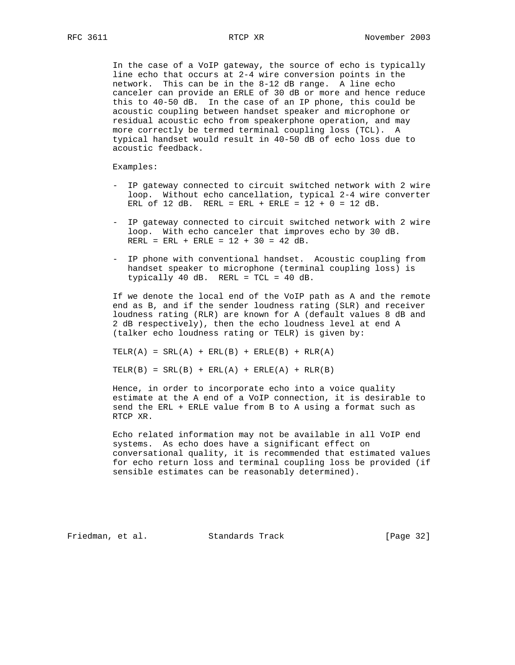In the case of a VoIP gateway, the source of echo is typically line echo that occurs at 2-4 wire conversion points in the network. This can be in the 8-12 dB range. A line echo canceler can provide an ERLE of 30 dB or more and hence reduce this to 40-50 dB. In the case of an IP phone, this could be acoustic coupling between handset speaker and microphone or residual acoustic echo from speakerphone operation, and may more correctly be termed terminal coupling loss (TCL). A typical handset would result in 40-50 dB of echo loss due to acoustic feedback.

Examples:

- IP gateway connected to circuit switched network with 2 wire loop. Without echo cancellation, typical 2-4 wire converter ERL of 12 dB. RERL = ERL + ERLE =  $12 + 0 = 12$  dB.
- IP gateway connected to circuit switched network with 2 wire loop. With echo canceler that improves echo by 30 dB. RERL = ERL + ERLE =  $12 + 30 = 42$  dB.
- IP phone with conventional handset. Acoustic coupling from handset speaker to microphone (terminal coupling loss) is typically 40 dB. RERL = TCL = 40 dB.

 If we denote the local end of the VoIP path as A and the remote end as B, and if the sender loudness rating (SLR) and receiver loudness rating (RLR) are known for A (default values 8 dB and 2 dB respectively), then the echo loudness level at end A (talker echo loudness rating or TELR) is given by:

 $TELR(A) = SRL(A) + ERL(B) + ERLE(B) + RLR(A)$ 

 $TELR(B) = SRL(B) + ERL(A) + ERLE(A) + RLR(B)$ 

 Hence, in order to incorporate echo into a voice quality estimate at the A end of a VoIP connection, it is desirable to send the ERL + ERLE value from B to A using a format such as RTCP XR.

 Echo related information may not be available in all VoIP end systems. As echo does have a significant effect on conversational quality, it is recommended that estimated values for echo return loss and terminal coupling loss be provided (if sensible estimates can be reasonably determined).

Friedman, et al. Standards Track [Page 32]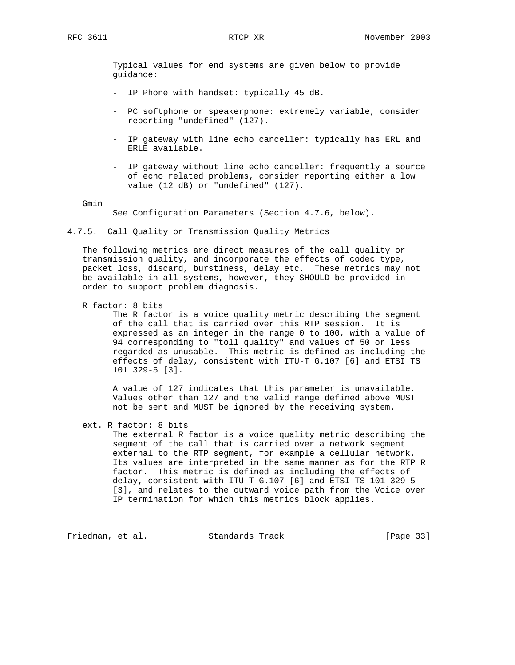Typical values for end systems are given below to provide guidance:

- IP Phone with handset: typically 45 dB.
- PC softphone or speakerphone: extremely variable, consider reporting "undefined" (127).
- IP gateway with line echo canceller: typically has ERL and ERLE available.
- IP gateway without line echo canceller: frequently a source of echo related problems, consider reporting either a low value (12 dB) or "undefined" (127).

Gmin

See Configuration Parameters (Section 4.7.6, below).

4.7.5. Call Quality or Transmission Quality Metrics

 The following metrics are direct measures of the call quality or transmission quality, and incorporate the effects of codec type, packet loss, discard, burstiness, delay etc. These metrics may not be available in all systems, however, they SHOULD be provided in order to support problem diagnosis.

R factor: 8 bits

 The R factor is a voice quality metric describing the segment of the call that is carried over this RTP session. It is expressed as an integer in the range 0 to 100, with a value of 94 corresponding to "toll quality" and values of 50 or less regarded as unusable. This metric is defined as including the effects of delay, consistent with ITU-T G.107 [6] and ETSI TS 101 329-5 [3].

 A value of 127 indicates that this parameter is unavailable. Values other than 127 and the valid range defined above MUST not be sent and MUST be ignored by the receiving system.

ext. R factor: 8 bits

 The external R factor is a voice quality metric describing the segment of the call that is carried over a network segment external to the RTP segment, for example a cellular network. Its values are interpreted in the same manner as for the RTP R factor. This metric is defined as including the effects of delay, consistent with ITU-T G.107 [6] and ETSI TS 101 329-5 [3], and relates to the outward voice path from the Voice over IP termination for which this metrics block applies.

Friedman, et al. Standards Track [Page 33]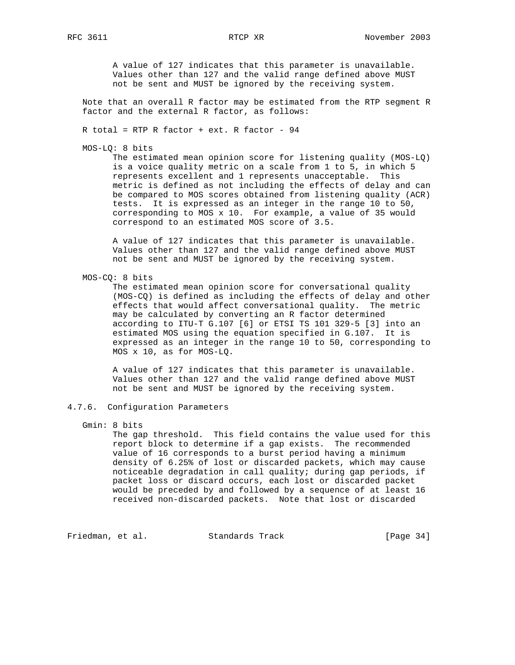A value of 127 indicates that this parameter is unavailable. Values other than 127 and the valid range defined above MUST not be sent and MUST be ignored by the receiving system.

 Note that an overall R factor may be estimated from the RTP segment R factor and the external R factor, as follows:

R total = RTP R factor + ext. R factor -  $94$ 

MOS-LQ: 8 bits

 The estimated mean opinion score for listening quality (MOS-LQ) is a voice quality metric on a scale from 1 to 5, in which 5 represents excellent and 1 represents unacceptable. This metric is defined as not including the effects of delay and can be compared to MOS scores obtained from listening quality (ACR) tests. It is expressed as an integer in the range 10 to 50, corresponding to MOS x 10. For example, a value of 35 would correspond to an estimated MOS score of 3.5.

 A value of 127 indicates that this parameter is unavailable. Values other than 127 and the valid range defined above MUST not be sent and MUST be ignored by the receiving system.

MOS-CQ: 8 bits

 The estimated mean opinion score for conversational quality (MOS-CQ) is defined as including the effects of delay and other effects that would affect conversational quality. The metric may be calculated by converting an R factor determined according to ITU-T G.107 [6] or ETSI TS 101 329-5 [3] into an estimated MOS using the equation specified in G.107. It is expressed as an integer in the range 10 to 50, corresponding to MOS x 10, as for MOS-LQ.

 A value of 127 indicates that this parameter is unavailable. Values other than 127 and the valid range defined above MUST not be sent and MUST be ignored by the receiving system.

# 4.7.6. Configuration Parameters

Gmin: 8 bits

 The gap threshold. This field contains the value used for this report block to determine if a gap exists. The recommended value of 16 corresponds to a burst period having a minimum density of 6.25% of lost or discarded packets, which may cause noticeable degradation in call quality; during gap periods, if packet loss or discard occurs, each lost or discarded packet would be preceded by and followed by a sequence of at least 16 received non-discarded packets. Note that lost or discarded

Friedman, et al. Standards Track [Page 34]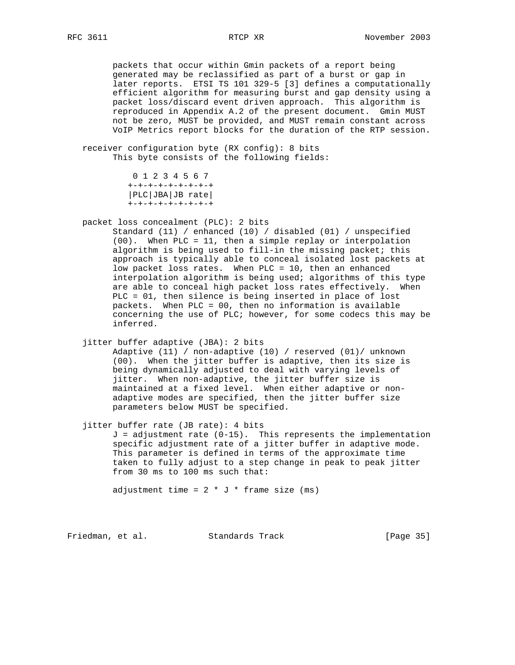packets that occur within Gmin packets of a report being generated may be reclassified as part of a burst or gap in later reports. ETSI TS 101 329-5 [3] defines a computationally efficient algorithm for measuring burst and gap density using a packet loss/discard event driven approach. This algorithm is reproduced in Appendix A.2 of the present document. Gmin MUST not be zero, MUST be provided, and MUST remain constant across VoIP Metrics report blocks for the duration of the RTP session.

 receiver configuration byte (RX config): 8 bits This byte consists of the following fields:

> 0 1 2 3 4 5 6 7 +-+-+-+-+-+-+-+-+ |PLC|JBA|JB rate| +-+-+-+-+-+-+-+-+

packet loss concealment (PLC): 2 bits

 Standard (11) / enhanced (10) / disabled (01) / unspecified (00). When PLC = 11, then a simple replay or interpolation algorithm is being used to fill-in the missing packet; this approach is typically able to conceal isolated lost packets at low packet loss rates. When PLC = 10, then an enhanced interpolation algorithm is being used; algorithms of this type are able to conceal high packet loss rates effectively. When PLC = 01, then silence is being inserted in place of lost packets. When PLC = 00, then no information is available concerning the use of PLC; however, for some codecs this may be inferred.

jitter buffer adaptive (JBA): 2 bits

 Adaptive (11) / non-adaptive (10) / reserved (01)/ unknown (00). When the jitter buffer is adaptive, then its size is being dynamically adjusted to deal with varying levels of jitter. When non-adaptive, the jitter buffer size is maintained at a fixed level. When either adaptive or non adaptive modes are specified, then the jitter buffer size parameters below MUST be specified.

jitter buffer rate (JB rate): 4 bits

 $J = adjustment$  rate  $(0-15)$ . This represents the implementation specific adjustment rate of a jitter buffer in adaptive mode. This parameter is defined in terms of the approximate time taken to fully adjust to a step change in peak to peak jitter from 30 ms to 100 ms such that:

adjustment time =  $2 * J *$  frame size (ms)

Friedman, et al. Standards Track [Page 35]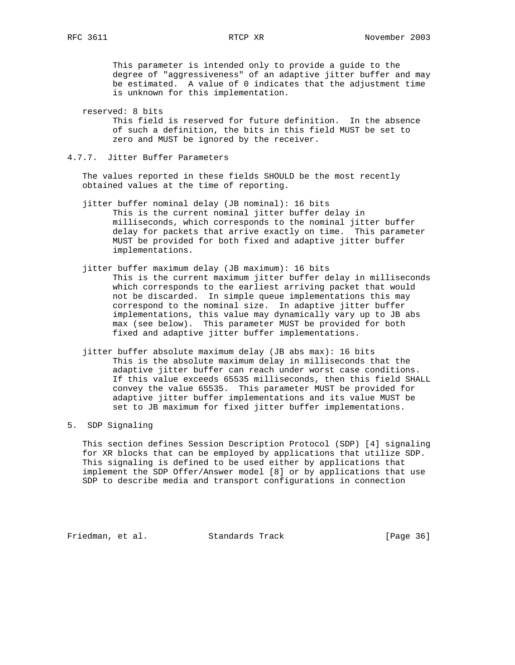This parameter is intended only to provide a guide to the degree of "aggressiveness" of an adaptive jitter buffer and may be estimated. A value of 0 indicates that the adjustment time is unknown for this implementation.

- reserved: 8 bits This field is reserved for future definition. In the absence of such a definition, the bits in this field MUST be set to zero and MUST be ignored by the receiver.
- 4.7.7. Jitter Buffer Parameters

 The values reported in these fields SHOULD be the most recently obtained values at the time of reporting.

- jitter buffer nominal delay (JB nominal): 16 bits This is the current nominal jitter buffer delay in milliseconds, which corresponds to the nominal jitter buffer delay for packets that arrive exactly on time. This parameter MUST be provided for both fixed and adaptive jitter buffer implementations.
- jitter buffer maximum delay (JB maximum): 16 bits This is the current maximum jitter buffer delay in milliseconds which corresponds to the earliest arriving packet that would not be discarded. In simple queue implementations this may correspond to the nominal size. In adaptive jitter buffer implementations, this value may dynamically vary up to JB abs max (see below). This parameter MUST be provided for both fixed and adaptive jitter buffer implementations.
- jitter buffer absolute maximum delay (JB abs max): 16 bits This is the absolute maximum delay in milliseconds that the adaptive jitter buffer can reach under worst case conditions. If this value exceeds 65535 milliseconds, then this field SHALL convey the value 65535. This parameter MUST be provided for adaptive jitter buffer implementations and its value MUST be set to JB maximum for fixed jitter buffer implementations.

# 5. SDP Signaling

 This section defines Session Description Protocol (SDP) [4] signaling for XR blocks that can be employed by applications that utilize SDP. This signaling is defined to be used either by applications that implement the SDP Offer/Answer model [8] or by applications that use SDP to describe media and transport configurations in connection

Friedman, et al. Standards Track [Page 36]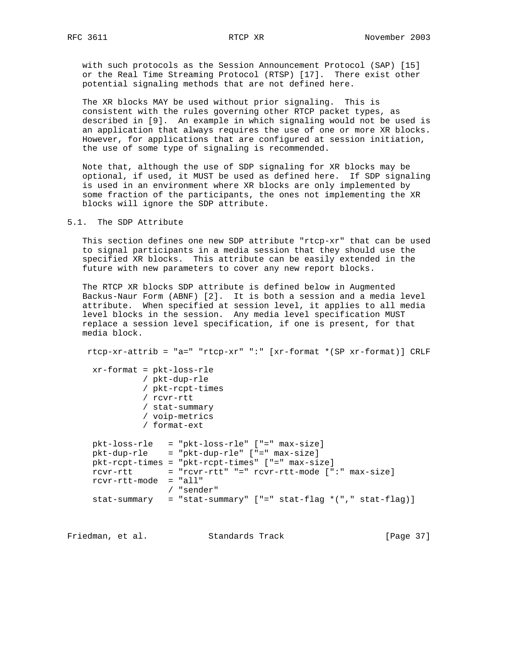with such protocols as the Session Announcement Protocol (SAP) [15] or the Real Time Streaming Protocol (RTSP) [17]. There exist other potential signaling methods that are not defined here.

 The XR blocks MAY be used without prior signaling. This is consistent with the rules governing other RTCP packet types, as described in [9]. An example in which signaling would not be used is an application that always requires the use of one or more XR blocks. However, for applications that are configured at session initiation, the use of some type of signaling is recommended.

 Note that, although the use of SDP signaling for XR blocks may be optional, if used, it MUST be used as defined here. If SDP signaling is used in an environment where XR blocks are only implemented by some fraction of the participants, the ones not implementing the XR blocks will ignore the SDP attribute.

### 5.1. The SDP Attribute

 This section defines one new SDP attribute "rtcp-xr" that can be used to signal participants in a media session that they should use the specified XR blocks. This attribute can be easily extended in the future with new parameters to cover any new report blocks.

 The RTCP XR blocks SDP attribute is defined below in Augmented Backus-Naur Form (ABNF) [2]. It is both a session and a media level attribute. When specified at session level, it applies to all media level blocks in the session. Any media level specification MUST replace a session level specification, if one is present, for that media block.

 rtcp-xr-attrib = "a=" "rtcp-xr" ":" [xr-format \*(SP xr-format)] CRLF xr-format = pkt-loss-rle / pkt-dup-rle / pkt-rcpt-times / rcvr-rtt / stat-summary / voip-metrics / format-ext pkt-loss-rle = "pkt-loss-rle" ["=" max-size] pkt-dup-rle = "pkt-dup-rle" ["=" max-size] pkt-rcpt-times = "pkt-rcpt-times" ["=" max-size] rcvr-rtt = "rcvr-rtt" "=" rcvr-rtt-mode [":" max-size] rcvr-rtt-mode = "all" / "sender" stat-summary = "stat-summary" ["=" stat-flag \*("," stat-flag)]

Friedman, et al. Standards Track [Page 37]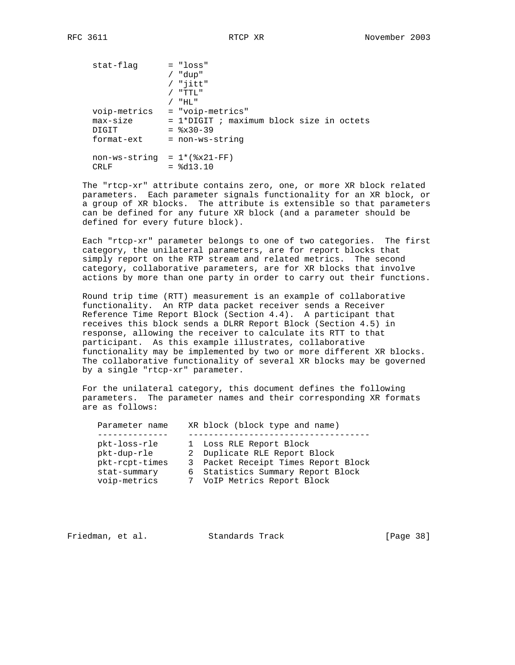| stat-flag                     | $= "loss"$                               |
|-------------------------------|------------------------------------------|
|                               | "dup"                                    |
|                               | $/$ "jitt"                               |
|                               | "TTL"                                    |
|                               | - " HL "                                 |
| voip-metrics                  | = "voip-metrics"                         |
| $max-size$                    | = 1*DIGIT ; maximum block size in octets |
| DIGIT                         | $=$ $\frac{8x30-39}{ }$                  |
| format-ext                    | = non-ws-string                          |
|                               |                                          |
| $non-ws-string = 1*(8x21-FF)$ |                                          |
| CRLF                          | $=$ $8d13.10$                            |

 The "rtcp-xr" attribute contains zero, one, or more XR block related parameters. Each parameter signals functionality for an XR block, or a group of XR blocks. The attribute is extensible so that parameters can be defined for any future XR block (and a parameter should be defined for every future block).

 Each "rtcp-xr" parameter belongs to one of two categories. The first category, the unilateral parameters, are for report blocks that simply report on the RTP stream and related metrics. The second category, collaborative parameters, are for XR blocks that involve actions by more than one party in order to carry out their functions.

 Round trip time (RTT) measurement is an example of collaborative functionality. An RTP data packet receiver sends a Receiver Reference Time Report Block (Section 4.4). A participant that receives this block sends a DLRR Report Block (Section 4.5) in response, allowing the receiver to calculate its RTT to that participant. As this example illustrates, collaborative functionality may be implemented by two or more different XR blocks. The collaborative functionality of several XR blocks may be governed by a single "rtcp-xr" parameter.

 For the unilateral category, this document defines the following parameters. The parameter names and their corresponding XR formats are as follows:

| Parameter name | XR block (block type and name)      |
|----------------|-------------------------------------|
| pkt-loss-rle   | 1 Loss RLE Report Block             |
| pkt-dup-rle    | 2 Duplicate RLE Report Block        |
| pkt-rcpt-times | 3 Packet Receipt Times Report Block |
| stat-summary   | 6 Statistics Summary Report Block   |
| voip-metrics   | 7 VoIP Metrics Report Block         |

| Friedman, et al.<br>Standards Track | [Page 38] |
|-------------------------------------|-----------|
|-------------------------------------|-----------|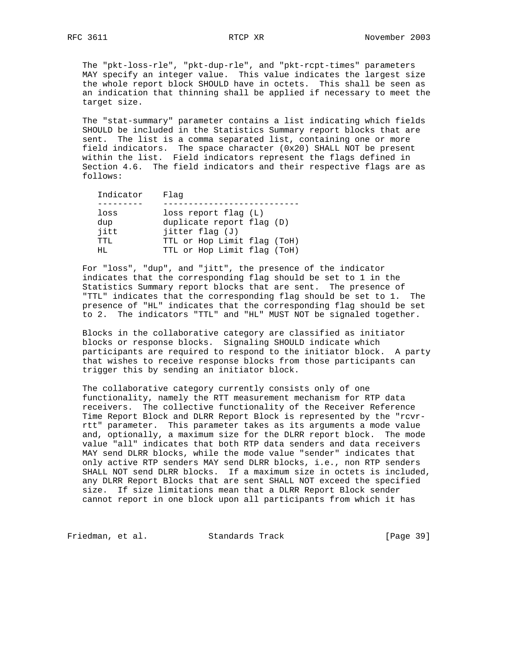The "pkt-loss-rle", "pkt-dup-rle", and "pkt-rcpt-times" parameters MAY specify an integer value. This value indicates the largest size the whole report block SHOULD have in octets. This shall be seen as an indication that thinning shall be applied if necessary to meet the target size.

 The "stat-summary" parameter contains a list indicating which fields SHOULD be included in the Statistics Summary report blocks that are sent. The list is a comma separated list, containing one or more field indicators. The space character (0x20) SHALL NOT be present within the list. Field indicators represent the flags defined in Section 4.6. The field indicators and their respective flags are as follows:

| Indicator | Flaq                        |
|-----------|-----------------------------|
|           |                             |
| loss      | $loss$ report flag $(L)$    |
| dup       | duplicate report flag (D)   |
| jitt      | jitter flag (J)             |
| TTT.      | TTL or Hop Limit flag (ToH) |
| HT.       | TTL or Hop Limit flag (ToH) |

 For "loss", "dup", and "jitt", the presence of the indicator indicates that the corresponding flag should be set to 1 in the Statistics Summary report blocks that are sent. The presence of "TTL" indicates that the corresponding flag should be set to 1. The presence of "HL" indicates that the corresponding flag should be set to 2. The indicators "TTL" and "HL" MUST NOT be signaled together.

 Blocks in the collaborative category are classified as initiator blocks or response blocks. Signaling SHOULD indicate which participants are required to respond to the initiator block. A party that wishes to receive response blocks from those participants can trigger this by sending an initiator block.

 The collaborative category currently consists only of one functionality, namely the RTT measurement mechanism for RTP data receivers. The collective functionality of the Receiver Reference Time Report Block and DLRR Report Block is represented by the "rcvr rtt" parameter. This parameter takes as its arguments a mode value and, optionally, a maximum size for the DLRR report block. The mode value "all" indicates that both RTP data senders and data receivers MAY send DLRR blocks, while the mode value "sender" indicates that only active RTP senders MAY send DLRR blocks, i.e., non RTP senders SHALL NOT send DLRR blocks. If a maximum size in octets is included, any DLRR Report Blocks that are sent SHALL NOT exceed the specified size. If size limitations mean that a DLRR Report Block sender cannot report in one block upon all participants from which it has

Friedman, et al. Standards Track [Page 39]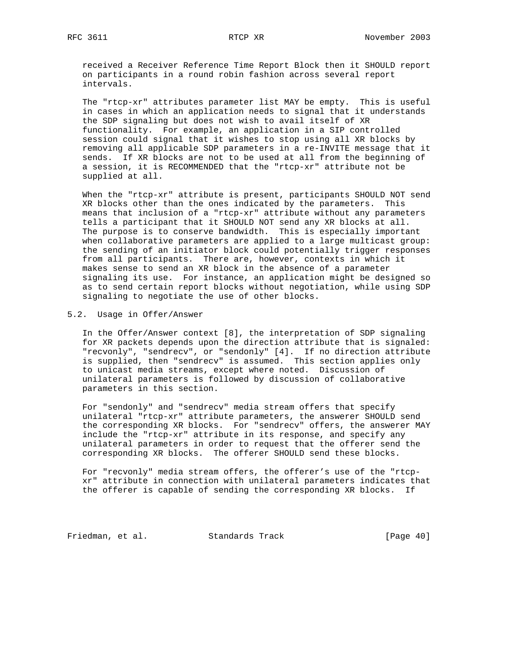received a Receiver Reference Time Report Block then it SHOULD report on participants in a round robin fashion across several report intervals.

 The "rtcp-xr" attributes parameter list MAY be empty. This is useful in cases in which an application needs to signal that it understands the SDP signaling but does not wish to avail itself of XR functionality. For example, an application in a SIP controlled session could signal that it wishes to stop using all XR blocks by removing all applicable SDP parameters in a re-INVITE message that it sends. If XR blocks are not to be used at all from the beginning of a session, it is RECOMMENDED that the "rtcp-xr" attribute not be supplied at all.

 When the "rtcp-xr" attribute is present, participants SHOULD NOT send XR blocks other than the ones indicated by the parameters. This means that inclusion of a "rtcp-xr" attribute without any parameters tells a participant that it SHOULD NOT send any XR blocks at all. The purpose is to conserve bandwidth. This is especially important when collaborative parameters are applied to a large multicast group: the sending of an initiator block could potentially trigger responses from all participants. There are, however, contexts in which it makes sense to send an XR block in the absence of a parameter signaling its use. For instance, an application might be designed so as to send certain report blocks without negotiation, while using SDP signaling to negotiate the use of other blocks.

### 5.2. Usage in Offer/Answer

 In the Offer/Answer context [8], the interpretation of SDP signaling for XR packets depends upon the direction attribute that is signaled: "recvonly", "sendrecv", or "sendonly" [4]. If no direction attribute is supplied, then "sendrecv" is assumed. This section applies only to unicast media streams, except where noted. Discussion of unilateral parameters is followed by discussion of collaborative parameters in this section.

 For "sendonly" and "sendrecv" media stream offers that specify unilateral "rtcp-xr" attribute parameters, the answerer SHOULD send the corresponding XR blocks. For "sendrecv" offers, the answerer MAY include the "rtcp-xr" attribute in its response, and specify any unilateral parameters in order to request that the offerer send the corresponding XR blocks. The offerer SHOULD send these blocks.

 For "recvonly" media stream offers, the offerer's use of the "rtcp xr" attribute in connection with unilateral parameters indicates that the offerer is capable of sending the corresponding XR blocks. If

Friedman, et al. Standards Track [Page 40]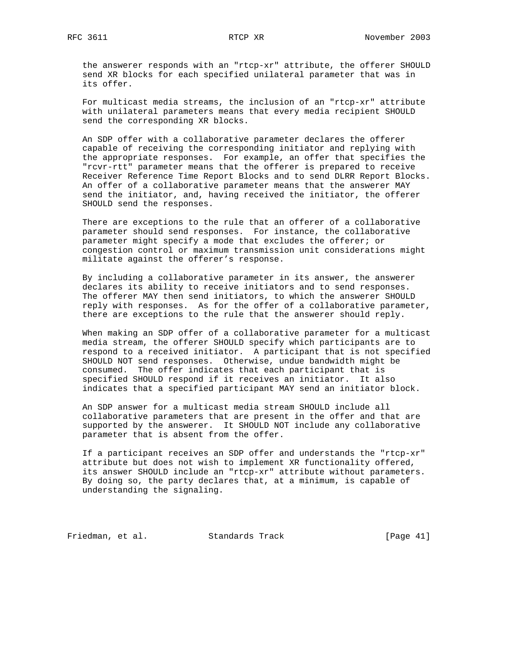the answerer responds with an "rtcp-xr" attribute, the offerer SHOULD send XR blocks for each specified unilateral parameter that was in its offer.

 For multicast media streams, the inclusion of an "rtcp-xr" attribute with unilateral parameters means that every media recipient SHOULD send the corresponding XR blocks.

 An SDP offer with a collaborative parameter declares the offerer capable of receiving the corresponding initiator and replying with the appropriate responses. For example, an offer that specifies the "rcvr-rtt" parameter means that the offerer is prepared to receive Receiver Reference Time Report Blocks and to send DLRR Report Blocks. An offer of a collaborative parameter means that the answerer MAY send the initiator, and, having received the initiator, the offerer SHOULD send the responses.

 There are exceptions to the rule that an offerer of a collaborative parameter should send responses. For instance, the collaborative parameter might specify a mode that excludes the offerer; or congestion control or maximum transmission unit considerations might militate against the offerer's response.

 By including a collaborative parameter in its answer, the answerer declares its ability to receive initiators and to send responses. The offerer MAY then send initiators, to which the answerer SHOULD reply with responses. As for the offer of a collaborative parameter, there are exceptions to the rule that the answerer should reply.

 When making an SDP offer of a collaborative parameter for a multicast media stream, the offerer SHOULD specify which participants are to respond to a received initiator. A participant that is not specified SHOULD NOT send responses. Otherwise, undue bandwidth might be consumed. The offer indicates that each participant that is specified SHOULD respond if it receives an initiator. It also indicates that a specified participant MAY send an initiator block.

 An SDP answer for a multicast media stream SHOULD include all collaborative parameters that are present in the offer and that are supported by the answerer. It SHOULD NOT include any collaborative parameter that is absent from the offer.

 If a participant receives an SDP offer and understands the "rtcp-xr" attribute but does not wish to implement XR functionality offered, its answer SHOULD include an "rtcp-xr" attribute without parameters. By doing so, the party declares that, at a minimum, is capable of understanding the signaling.

Friedman, et al. Standards Track [Page 41]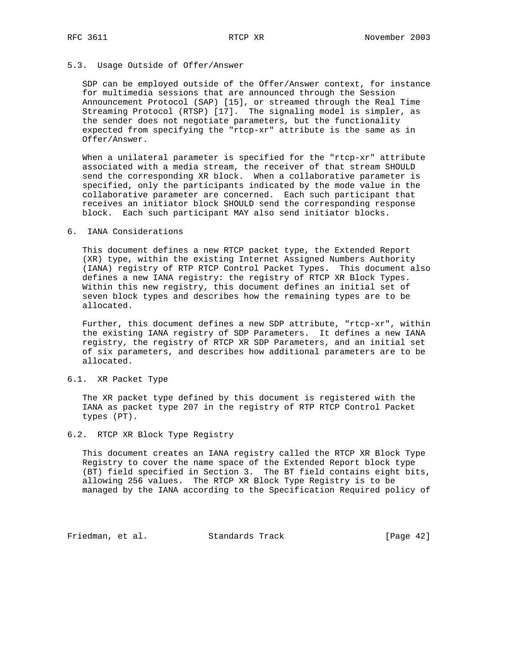### 5.3. Usage Outside of Offer/Answer

 SDP can be employed outside of the Offer/Answer context, for instance for multimedia sessions that are announced through the Session Announcement Protocol (SAP) [15], or streamed through the Real Time Streaming Protocol (RTSP) [17]. The signaling model is simpler, as the sender does not negotiate parameters, but the functionality expected from specifying the "rtcp-xr" attribute is the same as in Offer/Answer.

 When a unilateral parameter is specified for the "rtcp-xr" attribute associated with a media stream, the receiver of that stream SHOULD send the corresponding XR block. When a collaborative parameter is specified, only the participants indicated by the mode value in the collaborative parameter are concerned. Each such participant that receives an initiator block SHOULD send the corresponding response block. Each such participant MAY also send initiator blocks.

### 6. IANA Considerations

 This document defines a new RTCP packet type, the Extended Report (XR) type, within the existing Internet Assigned Numbers Authority (IANA) registry of RTP RTCP Control Packet Types. This document also defines a new IANA registry: the registry of RTCP XR Block Types. Within this new registry, this document defines an initial set of seven block types and describes how the remaining types are to be allocated.

 Further, this document defines a new SDP attribute, "rtcp-xr", within the existing IANA registry of SDP Parameters. It defines a new IANA registry, the registry of RTCP XR SDP Parameters, and an initial set of six parameters, and describes how additional parameters are to be allocated.

### 6.1. XR Packet Type

 The XR packet type defined by this document is registered with the IANA as packet type 207 in the registry of RTP RTCP Control Packet types (PT).

### 6.2. RTCP XR Block Type Registry

 This document creates an IANA registry called the RTCP XR Block Type Registry to cover the name space of the Extended Report block type (BT) field specified in Section 3. The BT field contains eight bits, allowing 256 values. The RTCP XR Block Type Registry is to be managed by the IANA according to the Specification Required policy of

Friedman, et al. Standards Track [Page 42]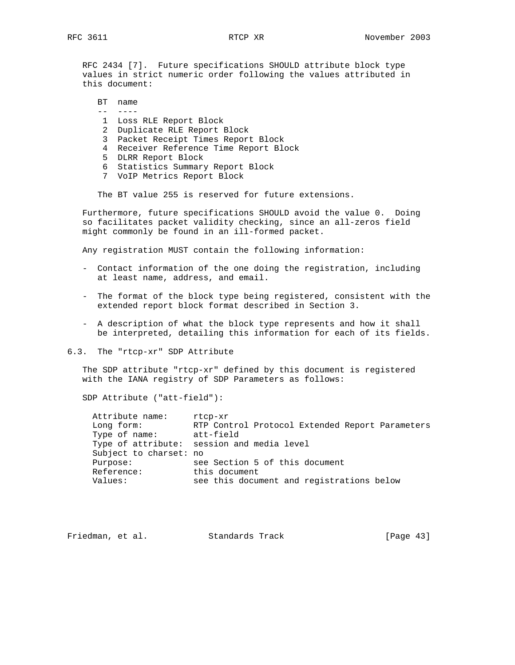RFC 2434 [7]. Future specifications SHOULD attribute block type values in strict numeric order following the values attributed in this document:

 BT name -- ---- 1 Loss RLE Report Block 2 Duplicate RLE Report Block 3 Packet Receipt Times Report Block 4 Receiver Reference Time Report Block 5 DLRR Report Block 6 Statistics Summary Report Block 7 VoIP Metrics Report Block

The BT value 255 is reserved for future extensions.

 Furthermore, future specifications SHOULD avoid the value 0. Doing so facilitates packet validity checking, since an all-zeros field might commonly be found in an ill-formed packet.

Any registration MUST contain the following information:

- Contact information of the one doing the registration, including at least name, address, and email.
- The format of the block type being registered, consistent with the extended report block format described in Section 3.
- A description of what the block type represents and how it shall be interpreted, detailing this information for each of its fields.
- 6.3. The "rtcp-xr" SDP Attribute

 The SDP attribute "rtcp-xr" defined by this document is registered with the IANA registry of SDP Parameters as follows:

SDP Attribute ("att-field"):

| Attribute name:        | rtcp-xr                                         |
|------------------------|-------------------------------------------------|
| Long form:             | RTP Control Protocol Extended Report Parameters |
| Type of name:          | att-field                                       |
|                        | Type of attribute: session and media level      |
| Subject to charset: no |                                                 |
| Purpose:               | see Section 5 of this document                  |
| Reference:             | this document                                   |
| Values:                | see this document and registrations below       |
|                        |                                                 |

| Friedman, et al. |  | Standards Track | [Page $43$ ] |  |
|------------------|--|-----------------|--------------|--|
|------------------|--|-----------------|--------------|--|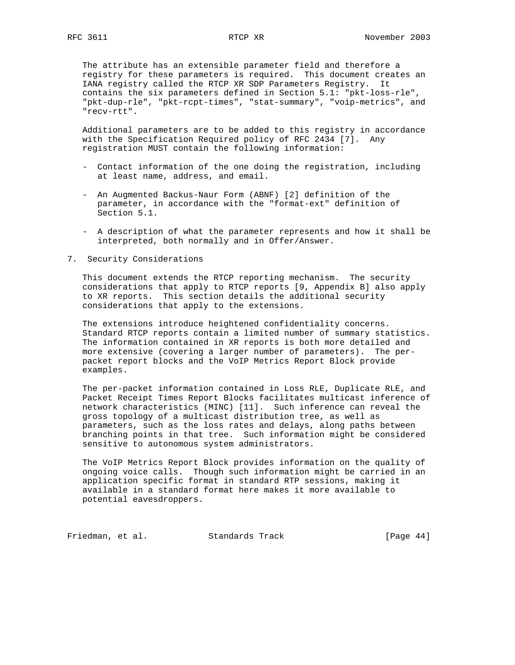The attribute has an extensible parameter field and therefore a registry for these parameters is required. This document creates an IANA registry called the RTCP XR SDP Parameters Registry. It contains the six parameters defined in Section 5.1: "pkt-loss-rle", "pkt-dup-rle", "pkt-rcpt-times", "stat-summary", "voip-metrics", and "recv-rtt".

 Additional parameters are to be added to this registry in accordance with the Specification Required policy of RFC 2434 [7]. Any registration MUST contain the following information:

- Contact information of the one doing the registration, including at least name, address, and email.
- An Augmented Backus-Naur Form (ABNF) [2] definition of the parameter, in accordance with the "format-ext" definition of Section 5.1.
- A description of what the parameter represents and how it shall be interpreted, both normally and in Offer/Answer.
- 7. Security Considerations

 This document extends the RTCP reporting mechanism. The security considerations that apply to RTCP reports [9, Appendix B] also apply to XR reports. This section details the additional security considerations that apply to the extensions.

 The extensions introduce heightened confidentiality concerns. Standard RTCP reports contain a limited number of summary statistics. The information contained in XR reports is both more detailed and more extensive (covering a larger number of parameters). The per packet report blocks and the VoIP Metrics Report Block provide examples.

 The per-packet information contained in Loss RLE, Duplicate RLE, and Packet Receipt Times Report Blocks facilitates multicast inference of network characteristics (MINC) [11]. Such inference can reveal the gross topology of a multicast distribution tree, as well as parameters, such as the loss rates and delays, along paths between branching points in that tree. Such information might be considered sensitive to autonomous system administrators.

 The VoIP Metrics Report Block provides information on the quality of ongoing voice calls. Though such information might be carried in an application specific format in standard RTP sessions, making it available in a standard format here makes it more available to potential eavesdroppers.

Friedman, et al. Standards Track [Page 44]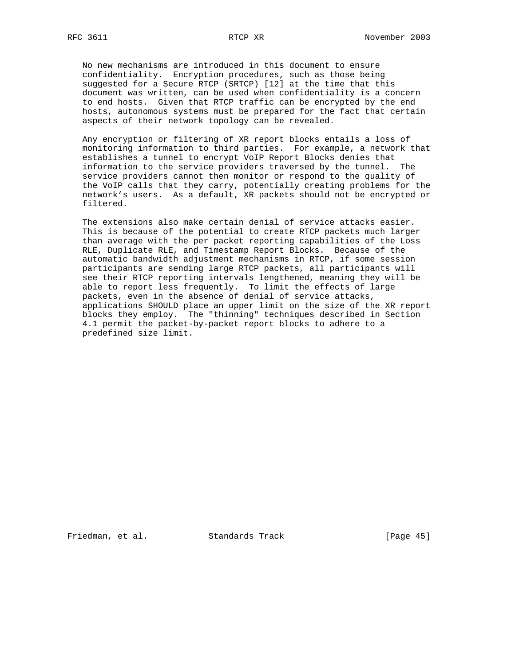No new mechanisms are introduced in this document to ensure confidentiality. Encryption procedures, such as those being suggested for a Secure RTCP (SRTCP) [12] at the time that this document was written, can be used when confidentiality is a concern to end hosts. Given that RTCP traffic can be encrypted by the end hosts, autonomous systems must be prepared for the fact that certain aspects of their network topology can be revealed.

 Any encryption or filtering of XR report blocks entails a loss of monitoring information to third parties. For example, a network that establishes a tunnel to encrypt VoIP Report Blocks denies that information to the service providers traversed by the tunnel. The service providers cannot then monitor or respond to the quality of the VoIP calls that they carry, potentially creating problems for the network's users. As a default, XR packets should not be encrypted or filtered.

 The extensions also make certain denial of service attacks easier. This is because of the potential to create RTCP packets much larger than average with the per packet reporting capabilities of the Loss RLE, Duplicate RLE, and Timestamp Report Blocks. Because of the automatic bandwidth adjustment mechanisms in RTCP, if some session participants are sending large RTCP packets, all participants will see their RTCP reporting intervals lengthened, meaning they will be able to report less frequently. To limit the effects of large packets, even in the absence of denial of service attacks, applications SHOULD place an upper limit on the size of the XR report blocks they employ. The "thinning" techniques described in Section 4.1 permit the packet-by-packet report blocks to adhere to a predefined size limit.

Friedman, et al. Standards Track [Page 45]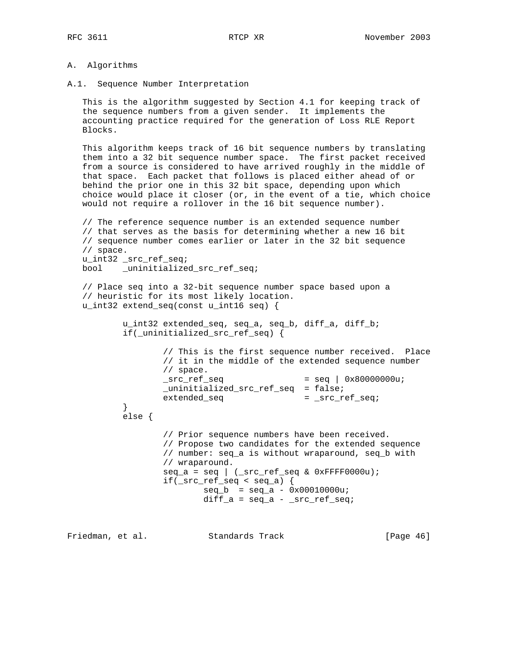### A. Algorithms

A.1. Sequence Number Interpretation

 This is the algorithm suggested by Section 4.1 for keeping track of the sequence numbers from a given sender. It implements the accounting practice required for the generation of Loss RLE Report Blocks.

 This algorithm keeps track of 16 bit sequence numbers by translating them into a 32 bit sequence number space. The first packet received from a source is considered to have arrived roughly in the middle of that space. Each packet that follows is placed either ahead of or behind the prior one in this 32 bit space, depending upon which choice would place it closer (or, in the event of a tie, which choice would not require a rollover in the 16 bit sequence number).

```
 // The reference sequence number is an extended sequence number
  // that serves as the basis for determining whether a new 16 bit
  // sequence number comes earlier or later in the 32 bit sequence
  // space.
  u_int32 _src_ref_seq;
  bool _uninitialized_src_ref_seq;
  // Place seq into a 32-bit sequence number space based upon a
  // heuristic for its most likely location.
  u_int32 extend_seq(const u_int16 seq) {
          u_int32 extended_seq, seq_a, seq_b, diff_a, diff_b;
          if(_uninitialized_src_ref_seq) {
                  // This is the first sequence number received. Place
                  // it in the middle of the extended sequence number
                  // space.
                 src_ref\_seq = seq \vert 0x80000000u;
                  _uninitialized_src_ref_seq = false;
                 extended_seq = _src_ref_seq;
}
          else {
                  // Prior sequence numbers have been received.
                  // Propose two candidates for the extended sequence
                  // number: seq_a is without wraparound, seq_b with
                  // wraparound.
                 seq_a = seq \mid (src_ref-seq \& 0xFFFF0000u); if(_src_ref_seq < seq_a) {
                         seq_b = seq_a - 0x00010000u;diff_a = seq_a - src_ref_seq;
```
Friedman, et al. Standards Track [Page 46]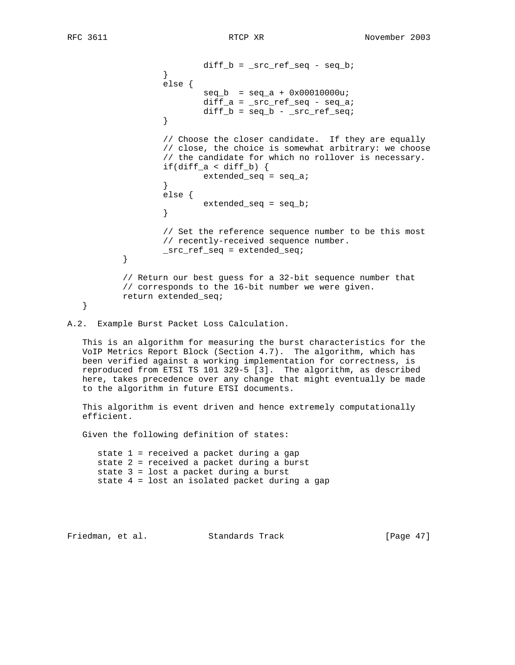$diff_b = src_ref\_seq - seq_b;$  } else {  $seq_b = seq_a + 0x00010000u;$  diff\_a = \_src\_ref\_seq - seq\_a; diff\_b =  $seq_b - src\_ref\_seq;$  } // Choose the closer candidate. If they are equally // close, the choice is somewhat arbitrary: we choose // the candidate for which no rollover is necessary. if(diff\_a < diff\_b)  $\{$ extended\_seq = seq\_a; } else { extended\_seq = seq\_b;<br>} } // Set the reference sequence number to be this most // recently-received sequence number. \_src\_ref\_seq = extended\_seq; } // Return our best guess for a 32-bit sequence number that // corresponds to the 16-bit number we were given. return extended\_seq; }

A.2. Example Burst Packet Loss Calculation.

 This is an algorithm for measuring the burst characteristics for the VoIP Metrics Report Block (Section 4.7). The algorithm, which has been verified against a working implementation for correctness, is reproduced from ETSI TS 101 329-5 [3]. The algorithm, as described here, takes precedence over any change that might eventually be made to the algorithm in future ETSI documents.

 This algorithm is event driven and hence extremely computationally efficient.

Given the following definition of states:

 state 1 = received a packet during a gap state 2 = received a packet during a burst state 3 = lost a packet during a burst state 4 = lost an isolated packet during a gap

Friedman, et al. Standards Track [Page 47]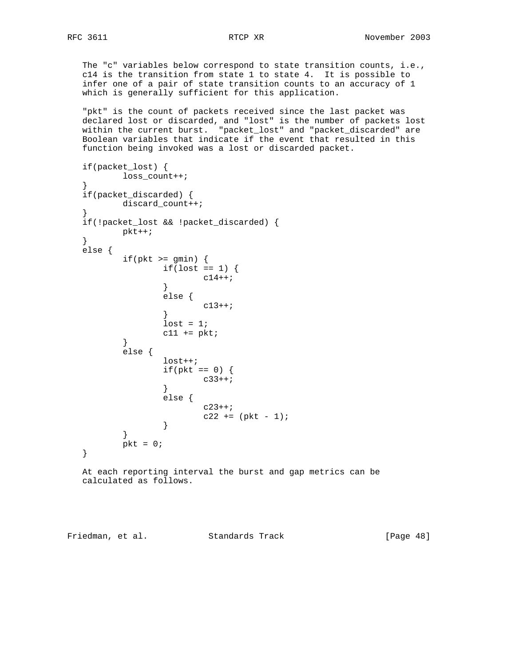The "c" variables below correspond to state transition counts, i.e., c14 is the transition from state 1 to state 4. It is possible to infer one of a pair of state transition counts to an accuracy of 1 which is generally sufficient for this application.

 "pkt" is the count of packets received since the last packet was declared lost or discarded, and "lost" is the number of packets lost within the current burst. "packet\_lost" and "packet\_discarded" are Boolean variables that indicate if the event that resulted in this function being invoked was a lost or discarded packet.

```
 if(packet_lost) {
        loss_count++;
}
  if(packet_discarded) {
        discard_count++;
}
  if(!packet_lost && !packet_discarded) {
        pkt++;
  }
  else {
       if(pkt >= gmin) {
             if(lost == 1)c14++; }
              else {
                   c13++; }
             lost = 1;c11 += pkt;
}
        else {
              lost++;
             if(\text{pkt} == 0) {
             c33++; }
              else {
                   c23++;c22 += (pkt - 1);<br>}
}
}
       pkt = 0;
  }
```
 At each reporting interval the burst and gap metrics can be calculated as follows.

Friedman, et al. Standards Track [Page 48]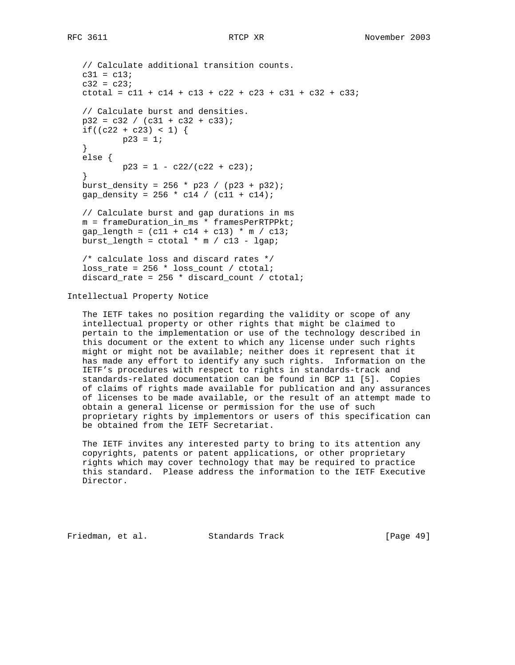```
 // Calculate additional transition counts.
 c31 = c13;c32 = c23;ctotal = c11 + c14 + c13 + c22 + c23 + c31 + c32 + c33;
  // Calculate burst and densities.
 p32 = c32 / (c31 + c32 + c33);if((c22 + c23) < 1) {
         p23 = 1; }
  else {
         p23 = 1 - c22/(c22 + c23); }
 burst_density = 256 * p23 / (p23 + p32);
 gap_density = 256 * c14 / (c11 + c14);
  // Calculate burst and gap durations in ms
  m = frameDuration_in_ms * framesPerRTPPkt;
 gap_length = (c11 + c14 + c13) * m / c13;burst_length = ctotal * m / c13 - lgap;
  /* calculate loss and discard rates */
  loss_rate = 256 * loss_count / ctotal;
  discard_rate = 256 * discard_count / ctotal;
```
Intellectual Property Notice

 The IETF takes no position regarding the validity or scope of any intellectual property or other rights that might be claimed to pertain to the implementation or use of the technology described in this document or the extent to which any license under such rights might or might not be available; neither does it represent that it has made any effort to identify any such rights. Information on the IETF's procedures with respect to rights in standards-track and standards-related documentation can be found in BCP 11 [5]. Copies of claims of rights made available for publication and any assurances of licenses to be made available, or the result of an attempt made to obtain a general license or permission for the use of such proprietary rights by implementors or users of this specification can be obtained from the IETF Secretariat.

 The IETF invites any interested party to bring to its attention any copyrights, patents or patent applications, or other proprietary rights which may cover technology that may be required to practice this standard. Please address the information to the IETF Executive Director.

Friedman, et al. Standards Track [Page 49]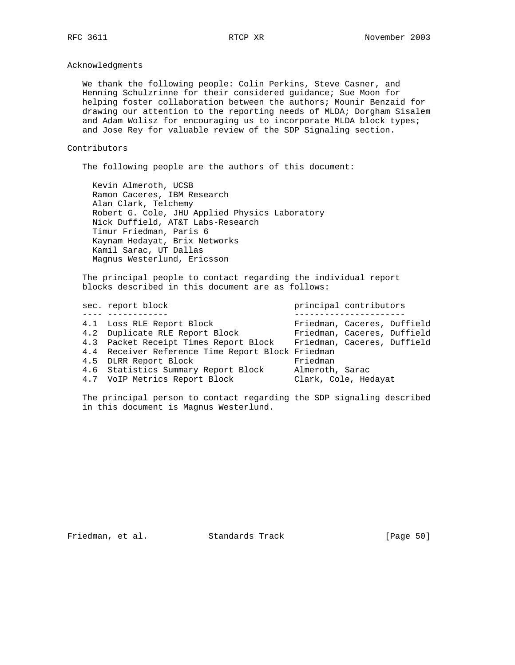# Acknowledgments

 We thank the following people: Colin Perkins, Steve Casner, and Henning Schulzrinne for their considered guidance; Sue Moon for helping foster collaboration between the authors; Mounir Benzaid for drawing our attention to the reporting needs of MLDA; Dorgham Sisalem and Adam Wolisz for encouraging us to incorporate MLDA block types; and Jose Rey for valuable review of the SDP Signaling section.

### Contributors

The following people are the authors of this document:

 Kevin Almeroth, UCSB Ramon Caceres, IBM Research Alan Clark, Telchemy Robert G. Cole, JHU Applied Physics Laboratory Nick Duffield, AT&T Labs-Research Timur Friedman, Paris 6 Kaynam Hedayat, Brix Networks Kamil Sarac, UT Dallas Magnus Westerlund, Ericsson

 The principal people to contact regarding the individual report blocks described in this document are as follows:

|  | sec. report block                                 | principal contributors      |
|--|---------------------------------------------------|-----------------------------|
|  |                                                   |                             |
|  | 4.1 Loss RLE Report Block                         | Friedman, Caceres, Duffield |
|  | 4.2 Duplicate RLE Report Block                    | Friedman, Caceres, Duffield |
|  | 4.3 Packet Receipt Times Report Block             | Friedman, Caceres, Duffield |
|  | 4.4 Receiver Reference Time Report Block Friedman |                             |
|  | 4.5 DLRR Report Block                             | Friedman                    |
|  | 4.6 Statistics Summary Report Block               | Almeroth, Sarac             |
|  | 4.7 VoIP Metrics Report Block                     | Clark, Cole, Hedayat        |
|  |                                                   |                             |

 The principal person to contact regarding the SDP signaling described in this document is Magnus Westerlund.

Friedman, et al. Standards Track [Page 50]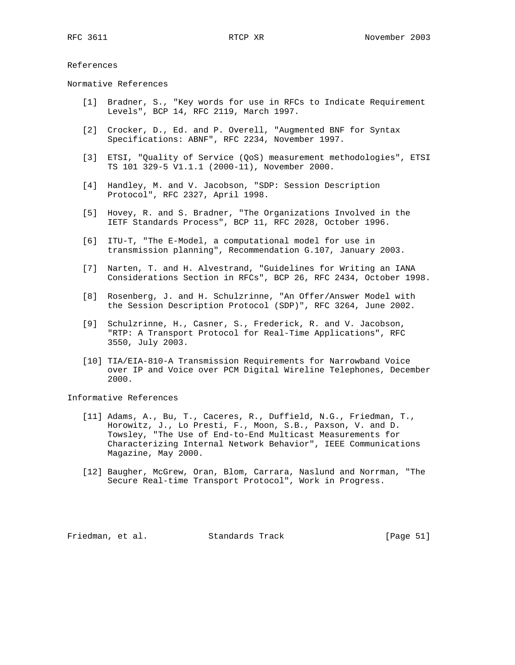### References

Normative References

- [1] Bradner, S., "Key words for use in RFCs to Indicate Requirement Levels", BCP 14, RFC 2119, March 1997.
- [2] Crocker, D., Ed. and P. Overell, "Augmented BNF for Syntax Specifications: ABNF", RFC 2234, November 1997.
- [3] ETSI, "Quality of Service (QoS) measurement methodologies", ETSI TS 101 329-5 V1.1.1 (2000-11), November 2000.
- [4] Handley, M. and V. Jacobson, "SDP: Session Description Protocol", RFC 2327, April 1998.
- [5] Hovey, R. and S. Bradner, "The Organizations Involved in the IETF Standards Process", BCP 11, RFC 2028, October 1996.
- [6] ITU-T, "The E-Model, a computational model for use in transmission planning", Recommendation G.107, January 2003.
- [7] Narten, T. and H. Alvestrand, "Guidelines for Writing an IANA Considerations Section in RFCs", BCP 26, RFC 2434, October 1998.
- [8] Rosenberg, J. and H. Schulzrinne, "An Offer/Answer Model with the Session Description Protocol (SDP)", RFC 3264, June 2002.
- [9] Schulzrinne, H., Casner, S., Frederick, R. and V. Jacobson, "RTP: A Transport Protocol for Real-Time Applications", RFC 3550, July 2003.
- [10] TIA/EIA-810-A Transmission Requirements for Narrowband Voice over IP and Voice over PCM Digital Wireline Telephones, December 2000.

# Informative References

- [11] Adams, A., Bu, T., Caceres, R., Duffield, N.G., Friedman, T., Horowitz, J., Lo Presti, F., Moon, S.B., Paxson, V. and D. Towsley, "The Use of End-to-End Multicast Measurements for Characterizing Internal Network Behavior", IEEE Communications Magazine, May 2000.
- [12] Baugher, McGrew, Oran, Blom, Carrara, Naslund and Norrman, "The Secure Real-time Transport Protocol", Work in Progress.

Friedman, et al. Standards Track [Page 51]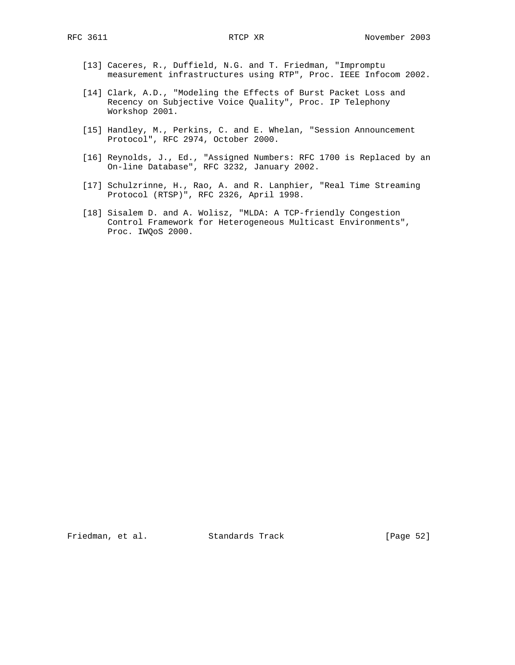- [13] Caceres, R., Duffield, N.G. and T. Friedman, "Impromptu measurement infrastructures using RTP", Proc. IEEE Infocom 2002.
- [14] Clark, A.D., "Modeling the Effects of Burst Packet Loss and Recency on Subjective Voice Quality", Proc. IP Telephony Workshop 2001.
- [15] Handley, M., Perkins, C. and E. Whelan, "Session Announcement Protocol", RFC 2974, October 2000.
- [16] Reynolds, J., Ed., "Assigned Numbers: RFC 1700 is Replaced by an On-line Database", RFC 3232, January 2002.
- [17] Schulzrinne, H., Rao, A. and R. Lanphier, "Real Time Streaming Protocol (RTSP)", RFC 2326, April 1998.
- [18] Sisalem D. and A. Wolisz, "MLDA: A TCP-friendly Congestion Control Framework for Heterogeneous Multicast Environments", Proc. IWQoS 2000.

Friedman, et al. Standards Track [Page 52]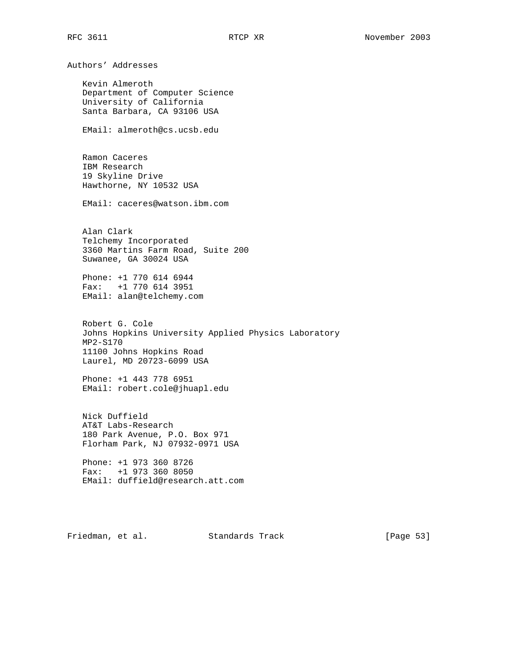Authors' Addresses Kevin Almeroth Department of Computer Science University of California Santa Barbara, CA 93106 USA EMail: almeroth@cs.ucsb.edu Ramon Caceres IBM Research 19 Skyline Drive Hawthorne, NY 10532 USA EMail: caceres@watson.ibm.com Alan Clark Telchemy Incorporated 3360 Martins Farm Road, Suite 200 Suwanee, GA 30024 USA Phone: +1 770 614 6944 Fax: +1 770 614 3951 EMail: alan@telchemy.com Robert G. Cole Johns Hopkins University Applied Physics Laboratory MP2-S170 11100 Johns Hopkins Road Laurel, MD 20723-6099 USA Phone: +1 443 778 6951 EMail: robert.cole@jhuapl.edu Nick Duffield AT&T Labs-Research 180 Park Avenue, P.O. Box 971 Florham Park, NJ 07932-0971 USA Phone: +1 973 360 8726 Fax: +1 973 360 8050 EMail: duffield@research.att.com Friedman, et al. Standards Track [Page 53]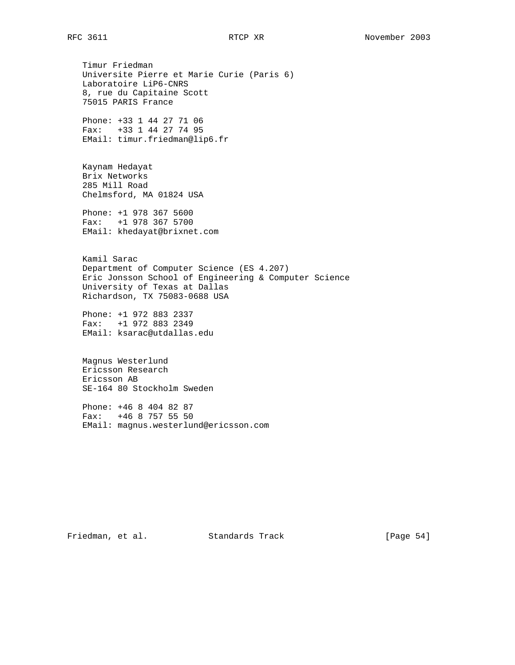Timur Friedman Universite Pierre et Marie Curie (Paris 6) Laboratoire LiP6-CNRS 8, rue du Capitaine Scott 75015 PARIS France

 Phone: +33 1 44 27 71 06 Fax: +33 1 44 27 74 95 EMail: timur.friedman@lip6.fr

 Kaynam Hedayat Brix Networks 285 Mill Road Chelmsford, MA 01824 USA

 Phone: +1 978 367 5600 Fax: +1 978 367 5700 EMail: khedayat@brixnet.com

 Kamil Sarac Department of Computer Science (ES 4.207) Eric Jonsson School of Engineering & Computer Science University of Texas at Dallas Richardson, TX 75083-0688 USA

 Phone: +1 972 883 2337 Fax: +1 972 883 2349 EMail: ksarac@utdallas.edu

 Magnus Westerlund Ericsson Research Ericsson AB SE-164 80 Stockholm Sweden

 Phone: +46 8 404 82 87 Fax: +46 8 757 55 50 EMail: magnus.westerlund@ericsson.com

Friedman, et al. Standards Track [Page 54]